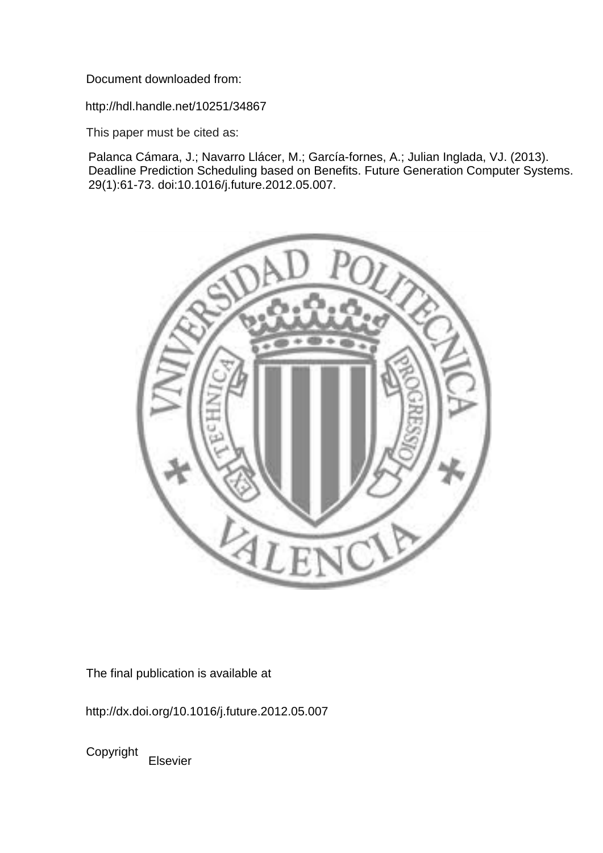Document downloaded from:

http://hdl.handle.net/10251/34867

This paper must be cited as:

Palanca Cámara, J.; Navarro Llácer, M.; García-fornes, A.; Julian Inglada, VJ. (2013). Deadline Prediction Scheduling based on Benefits. Future Generation Computer Systems. 29(1):61-73. doi:10.1016/j.future.2012.05.007.



The final publication is available at

http://dx.doi.org/10.1016/j.future.2012.05.007

Copyright Elsevier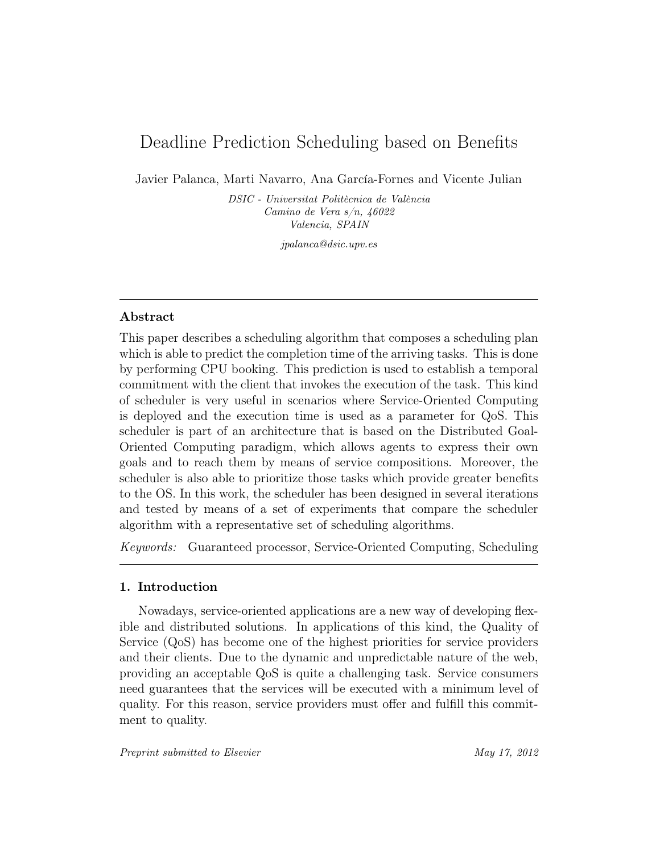# Deadline Prediction Scheduling based on Benefits

Javier Palanca, Marti Navarro, Ana García-Fornes and Vicente Julian

DSIC - Universitat Politècnica de València Camino de Vera s/n, 46022 Valencia, SPAIN

jpalanca@dsic.upv.es

#### Abstract

This paper describes a scheduling algorithm that composes a scheduling plan which is able to predict the completion time of the arriving tasks. This is done by performing CPU booking. This prediction is used to establish a temporal commitment with the client that invokes the execution of the task. This kind of scheduler is very useful in scenarios where Service-Oriented Computing is deployed and the execution time is used as a parameter for QoS. This scheduler is part of an architecture that is based on the Distributed Goal-Oriented Computing paradigm, which allows agents to express their own goals and to reach them by means of service compositions. Moreover, the scheduler is also able to prioritize those tasks which provide greater benefits to the OS. In this work, the scheduler has been designed in several iterations and tested by means of a set of experiments that compare the scheduler algorithm with a representative set of scheduling algorithms.

Keywords: Guaranteed processor, Service-Oriented Computing, Scheduling

## 1. Introduction

Nowadays, service-oriented applications are a new way of developing flexible and distributed solutions. In applications of this kind, the Quality of Service (QoS) has become one of the highest priorities for service providers and their clients. Due to the dynamic and unpredictable nature of the web, providing an acceptable QoS is quite a challenging task. Service consumers need guarantees that the services will be executed with a minimum level of quality. For this reason, service providers must offer and fulfill this commitment to quality.

Preprint submitted to Elsevier May 17, 2012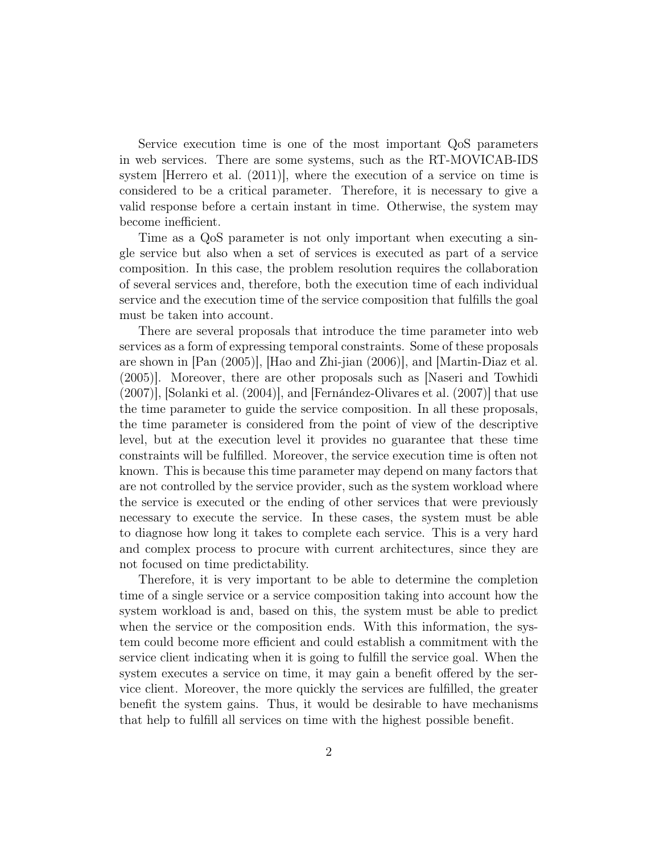Service execution time is one of the most important QoS parameters in web services. There are some systems, such as the RT-MOVICAB-IDS system [Herrero et al. (2011)], where the execution of a service on time is considered to be a critical parameter. Therefore, it is necessary to give a valid response before a certain instant in time. Otherwise, the system may become inefficient.

Time as a QoS parameter is not only important when executing a single service but also when a set of services is executed as part of a service composition. In this case, the problem resolution requires the collaboration of several services and, therefore, both the execution time of each individual service and the execution time of the service composition that fulfills the goal must be taken into account.

There are several proposals that introduce the time parameter into web services as a form of expressing temporal constraints. Some of these proposals are shown in [Pan (2005)], [Hao and Zhi-jian (2006)], and [Martin-Diaz et al. (2005)]. Moreover, there are other proposals such as [Naseri and Towhidi (2007)], [Solanki et al. (2004)], and [Fernández-Olivares et al. (2007)] that use the time parameter to guide the service composition. In all these proposals, the time parameter is considered from the point of view of the descriptive level, but at the execution level it provides no guarantee that these time constraints will be fulfilled. Moreover, the service execution time is often not known. This is because this time parameter may depend on many factors that are not controlled by the service provider, such as the system workload where the service is executed or the ending of other services that were previously necessary to execute the service. In these cases, the system must be able to diagnose how long it takes to complete each service. This is a very hard and complex process to procure with current architectures, since they are not focused on time predictability.

Therefore, it is very important to be able to determine the completion time of a single service or a service composition taking into account how the system workload is and, based on this, the system must be able to predict when the service or the composition ends. With this information, the system could become more efficient and could establish a commitment with the service client indicating when it is going to fulfill the service goal. When the system executes a service on time, it may gain a benefit offered by the service client. Moreover, the more quickly the services are fulfilled, the greater benefit the system gains. Thus, it would be desirable to have mechanisms that help to fulfill all services on time with the highest possible benefit.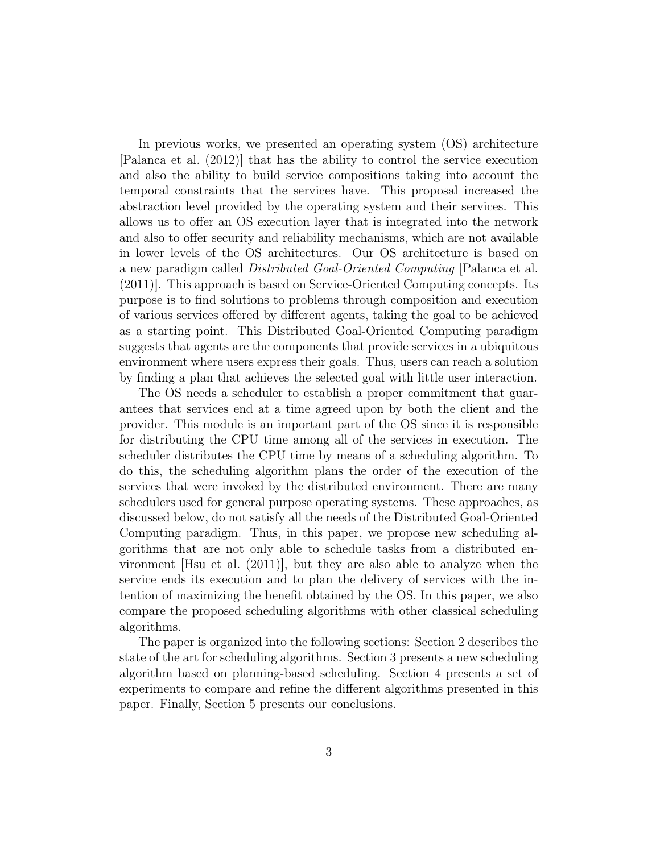In previous works, we presented an operating system (OS) architecture [Palanca et al. (2012)] that has the ability to control the service execution and also the ability to build service compositions taking into account the temporal constraints that the services have. This proposal increased the abstraction level provided by the operating system and their services. This allows us to offer an OS execution layer that is integrated into the network and also to offer security and reliability mechanisms, which are not available in lower levels of the OS architectures. Our OS architecture is based on a new paradigm called Distributed Goal-Oriented Computing [Palanca et al. (2011)]. This approach is based on Service-Oriented Computing concepts. Its purpose is to find solutions to problems through composition and execution of various services offered by different agents, taking the goal to be achieved as a starting point. This Distributed Goal-Oriented Computing paradigm suggests that agents are the components that provide services in a ubiquitous environment where users express their goals. Thus, users can reach a solution by finding a plan that achieves the selected goal with little user interaction.

The OS needs a scheduler to establish a proper commitment that guarantees that services end at a time agreed upon by both the client and the provider. This module is an important part of the OS since it is responsible for distributing the CPU time among all of the services in execution. The scheduler distributes the CPU time by means of a scheduling algorithm. To do this, the scheduling algorithm plans the order of the execution of the services that were invoked by the distributed environment. There are many schedulers used for general purpose operating systems. These approaches, as discussed below, do not satisfy all the needs of the Distributed Goal-Oriented Computing paradigm. Thus, in this paper, we propose new scheduling algorithms that are not only able to schedule tasks from a distributed environment [Hsu et al. (2011)], but they are also able to analyze when the service ends its execution and to plan the delivery of services with the intention of maximizing the benefit obtained by the OS. In this paper, we also compare the proposed scheduling algorithms with other classical scheduling algorithms.

The paper is organized into the following sections: Section 2 describes the state of the art for scheduling algorithms. Section 3 presents a new scheduling algorithm based on planning-based scheduling. Section 4 presents a set of experiments to compare and refine the different algorithms presented in this paper. Finally, Section 5 presents our conclusions.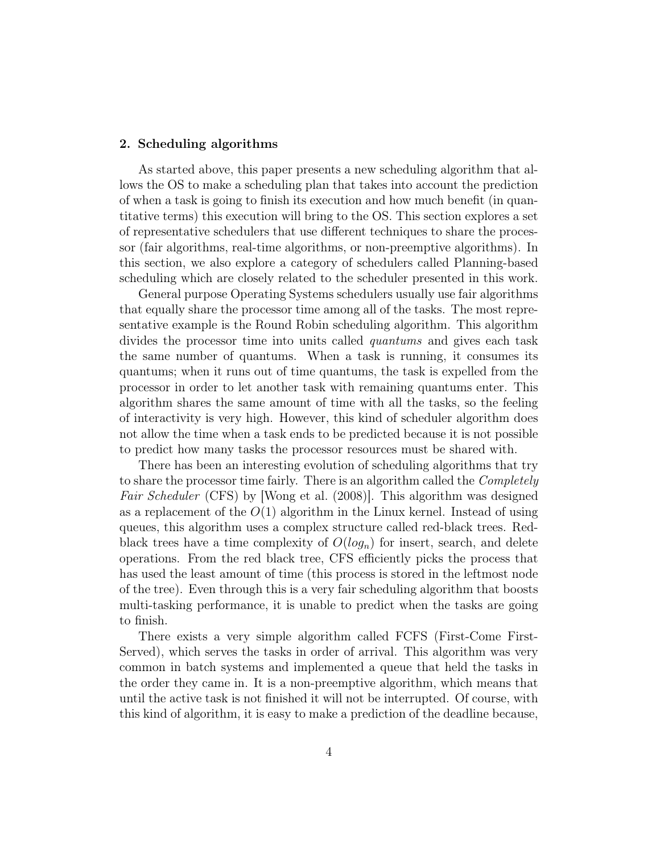#### 2. Scheduling algorithms

As started above, this paper presents a new scheduling algorithm that allows the OS to make a scheduling plan that takes into account the prediction of when a task is going to finish its execution and how much benefit (in quantitative terms) this execution will bring to the OS. This section explores a set of representative schedulers that use different techniques to share the processor (fair algorithms, real-time algorithms, or non-preemptive algorithms). In this section, we also explore a category of schedulers called Planning-based scheduling which are closely related to the scheduler presented in this work.

General purpose Operating Systems schedulers usually use fair algorithms that equally share the processor time among all of the tasks. The most representative example is the Round Robin scheduling algorithm. This algorithm divides the processor time into units called quantums and gives each task the same number of quantums. When a task is running, it consumes its quantums; when it runs out of time quantums, the task is expelled from the processor in order to let another task with remaining quantums enter. This algorithm shares the same amount of time with all the tasks, so the feeling of interactivity is very high. However, this kind of scheduler algorithm does not allow the time when a task ends to be predicted because it is not possible to predict how many tasks the processor resources must be shared with.

There has been an interesting evolution of scheduling algorithms that try to share the processor time fairly. There is an algorithm called the Completely Fair Scheduler (CFS) by [Wong et al. (2008)]. This algorithm was designed as a replacement of the  $O(1)$  algorithm in the Linux kernel. Instead of using queues, this algorithm uses a complex structure called red-black trees. Redblack trees have a time complexity of  $O(log_n)$  for insert, search, and delete operations. From the red black tree, CFS efficiently picks the process that has used the least amount of time (this process is stored in the leftmost node of the tree). Even through this is a very fair scheduling algorithm that boosts multi-tasking performance, it is unable to predict when the tasks are going to finish.

There exists a very simple algorithm called FCFS (First-Come First-Served), which serves the tasks in order of arrival. This algorithm was very common in batch systems and implemented a queue that held the tasks in the order they came in. It is a non-preemptive algorithm, which means that until the active task is not finished it will not be interrupted. Of course, with this kind of algorithm, it is easy to make a prediction of the deadline because,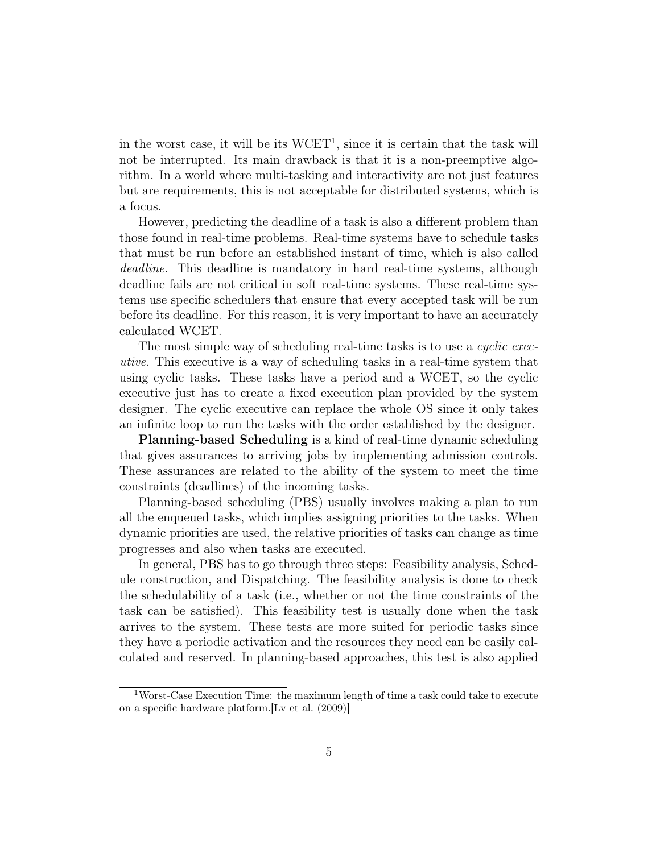in the worst case, it will be its WCET<sup>1</sup>, since it is certain that the task will not be interrupted. Its main drawback is that it is a non-preemptive algorithm. In a world where multi-tasking and interactivity are not just features but are requirements, this is not acceptable for distributed systems, which is a focus.

However, predicting the deadline of a task is also a different problem than those found in real-time problems. Real-time systems have to schedule tasks that must be run before an established instant of time, which is also called deadline. This deadline is mandatory in hard real-time systems, although deadline fails are not critical in soft real-time systems. These real-time systems use specific schedulers that ensure that every accepted task will be run before its deadline. For this reason, it is very important to have an accurately calculated WCET.

The most simple way of scheduling real-time tasks is to use a *cyclic exec*utive. This executive is a way of scheduling tasks in a real-time system that using cyclic tasks. These tasks have a period and a WCET, so the cyclic executive just has to create a fixed execution plan provided by the system designer. The cyclic executive can replace the whole OS since it only takes an infinite loop to run the tasks with the order established by the designer.

Planning-based Scheduling is a kind of real-time dynamic scheduling that gives assurances to arriving jobs by implementing admission controls. These assurances are related to the ability of the system to meet the time constraints (deadlines) of the incoming tasks.

Planning-based scheduling (PBS) usually involves making a plan to run all the enqueued tasks, which implies assigning priorities to the tasks. When dynamic priorities are used, the relative priorities of tasks can change as time progresses and also when tasks are executed.

In general, PBS has to go through three steps: Feasibility analysis, Schedule construction, and Dispatching. The feasibility analysis is done to check the schedulability of a task (i.e., whether or not the time constraints of the task can be satisfied). This feasibility test is usually done when the task arrives to the system. These tests are more suited for periodic tasks since they have a periodic activation and the resources they need can be easily calculated and reserved. In planning-based approaches, this test is also applied

<sup>1</sup>Worst-Case Execution Time: the maximum length of time a task could take to execute on a specific hardware platform.[Lv et al. (2009)]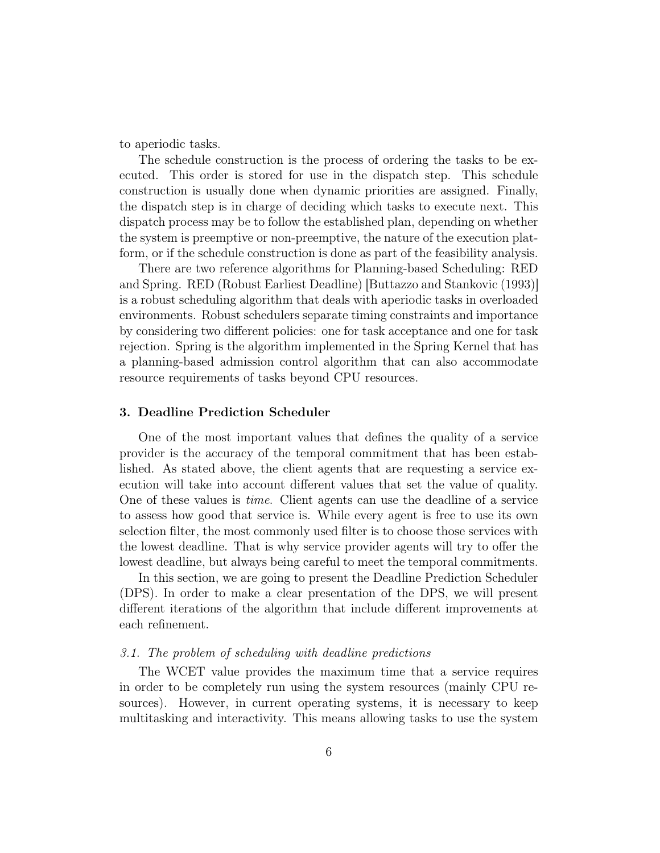to aperiodic tasks.

The schedule construction is the process of ordering the tasks to be executed. This order is stored for use in the dispatch step. This schedule construction is usually done when dynamic priorities are assigned. Finally, the dispatch step is in charge of deciding which tasks to execute next. This dispatch process may be to follow the established plan, depending on whether the system is preemptive or non-preemptive, the nature of the execution platform, or if the schedule construction is done as part of the feasibility analysis.

There are two reference algorithms for Planning-based Scheduling: RED and Spring. RED (Robust Earliest Deadline) [Buttazzo and Stankovic (1993)] is a robust scheduling algorithm that deals with aperiodic tasks in overloaded environments. Robust schedulers separate timing constraints and importance by considering two different policies: one for task acceptance and one for task rejection. Spring is the algorithm implemented in the Spring Kernel that has a planning-based admission control algorithm that can also accommodate resource requirements of tasks beyond CPU resources.

#### 3. Deadline Prediction Scheduler

One of the most important values that defines the quality of a service provider is the accuracy of the temporal commitment that has been established. As stated above, the client agents that are requesting a service execution will take into account different values that set the value of quality. One of these values is time. Client agents can use the deadline of a service to assess how good that service is. While every agent is free to use its own selection filter, the most commonly used filter is to choose those services with the lowest deadline. That is why service provider agents will try to offer the lowest deadline, but always being careful to meet the temporal commitments.

In this section, we are going to present the Deadline Prediction Scheduler (DPS). In order to make a clear presentation of the DPS, we will present different iterations of the algorithm that include different improvements at each refinement.

#### 3.1. The problem of scheduling with deadline predictions

The WCET value provides the maximum time that a service requires in order to be completely run using the system resources (mainly CPU resources). However, in current operating systems, it is necessary to keep multitasking and interactivity. This means allowing tasks to use the system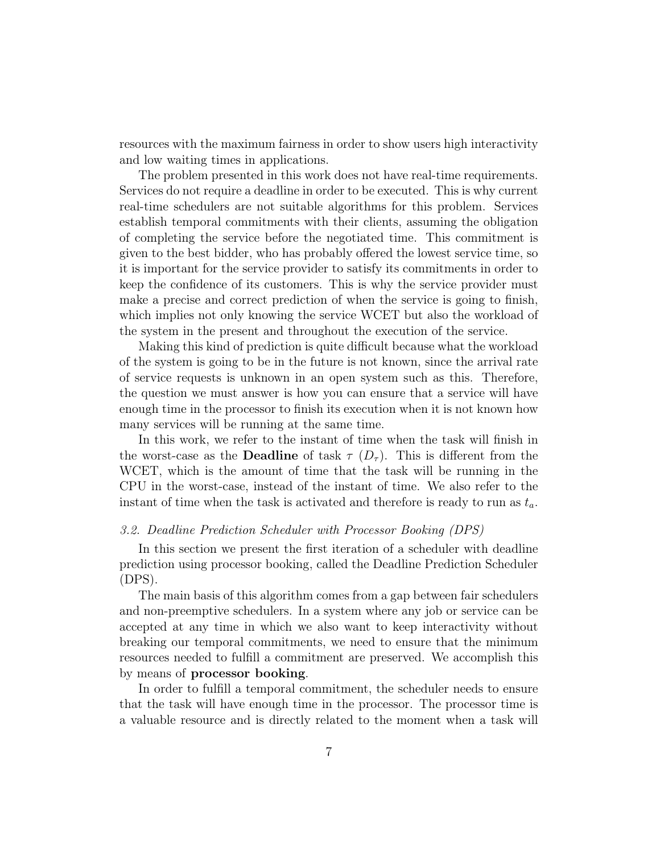resources with the maximum fairness in order to show users high interactivity and low waiting times in applications.

The problem presented in this work does not have real-time requirements. Services do not require a deadline in order to be executed. This is why current real-time schedulers are not suitable algorithms for this problem. Services establish temporal commitments with their clients, assuming the obligation of completing the service before the negotiated time. This commitment is given to the best bidder, who has probably offered the lowest service time, so it is important for the service provider to satisfy its commitments in order to keep the confidence of its customers. This is why the service provider must make a precise and correct prediction of when the service is going to finish, which implies not only knowing the service WCET but also the workload of the system in the present and throughout the execution of the service.

Making this kind of prediction is quite difficult because what the workload of the system is going to be in the future is not known, since the arrival rate of service requests is unknown in an open system such as this. Therefore, the question we must answer is how you can ensure that a service will have enough time in the processor to finish its execution when it is not known how many services will be running at the same time.

In this work, we refer to the instant of time when the task will finish in the worst-case as the **Deadline** of task  $\tau$  ( $D_{\tau}$ ). This is different from the WCET, which is the amount of time that the task will be running in the CPU in the worst-case, instead of the instant of time. We also refer to the instant of time when the task is activated and therefore is ready to run as  $t_a$ .

#### 3.2. Deadline Prediction Scheduler with Processor Booking (DPS)

In this section we present the first iteration of a scheduler with deadline prediction using processor booking, called the Deadline Prediction Scheduler (DPS).

The main basis of this algorithm comes from a gap between fair schedulers and non-preemptive schedulers. In a system where any job or service can be accepted at any time in which we also want to keep interactivity without breaking our temporal commitments, we need to ensure that the minimum resources needed to fulfill a commitment are preserved. We accomplish this by means of processor booking.

In order to fulfill a temporal commitment, the scheduler needs to ensure that the task will have enough time in the processor. The processor time is a valuable resource and is directly related to the moment when a task will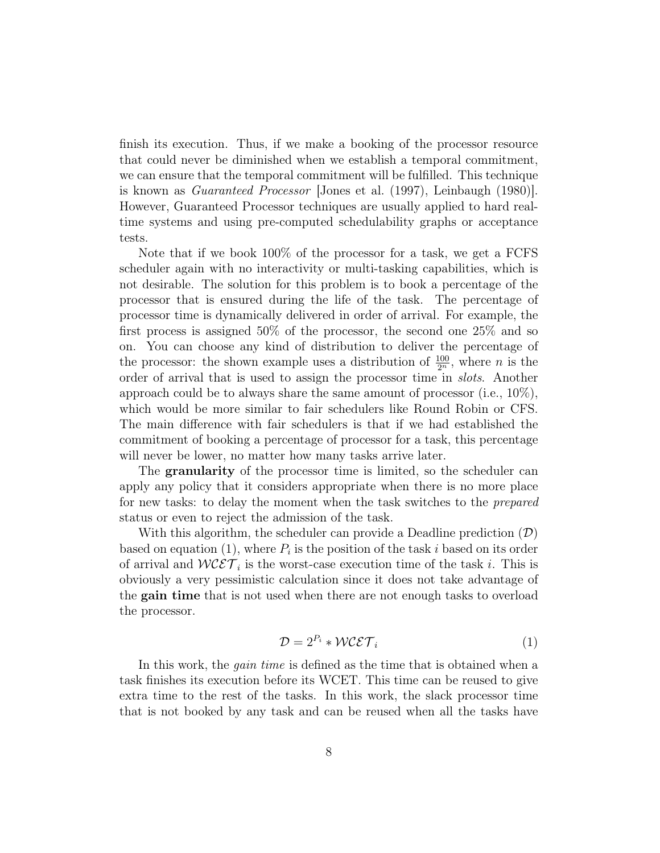finish its execution. Thus, if we make a booking of the processor resource that could never be diminished when we establish a temporal commitment, we can ensure that the temporal commitment will be fulfilled. This technique is known as Guaranteed Processor [Jones et al. (1997), Leinbaugh (1980)]. However, Guaranteed Processor techniques are usually applied to hard realtime systems and using pre-computed schedulability graphs or acceptance tests.

Note that if we book 100% of the processor for a task, we get a FCFS scheduler again with no interactivity or multi-tasking capabilities, which is not desirable. The solution for this problem is to book a percentage of the processor that is ensured during the life of the task. The percentage of processor time is dynamically delivered in order of arrival. For example, the first process is assigned 50% of the processor, the second one 25% and so on. You can choose any kind of distribution to deliver the percentage of the processor: the shown example uses a distribution of  $\frac{100}{2^n}$ , where *n* is the order of arrival that is used to assign the processor time in slots. Another approach could be to always share the same amount of processor (i.e., 10%), which would be more similar to fair schedulers like Round Robin or CFS. The main difference with fair schedulers is that if we had established the commitment of booking a percentage of processor for a task, this percentage will never be lower, no matter how many tasks arrive later.

The **granularity** of the processor time is limited, so the scheduler can apply any policy that it considers appropriate when there is no more place for new tasks: to delay the moment when the task switches to the prepared status or even to reject the admission of the task.

With this algorithm, the scheduler can provide a Deadline prediction  $(D)$ based on equation (1), where  $P_i$  is the position of the task i based on its order of arrival and  $W\mathcal{C}\mathcal{E}\mathcal{T}_i$  is the worst-case execution time of the task i. This is obviously a very pessimistic calculation since it does not take advantage of the gain time that is not used when there are not enough tasks to overload the processor.

$$
\mathcal{D} = 2^{P_i} * \mathcal{W} \mathcal{C} \mathcal{E} \mathcal{T}_i \tag{1}
$$

In this work, the *gain time* is defined as the time that is obtained when a task finishes its execution before its WCET. This time can be reused to give extra time to the rest of the tasks. In this work, the slack processor time that is not booked by any task and can be reused when all the tasks have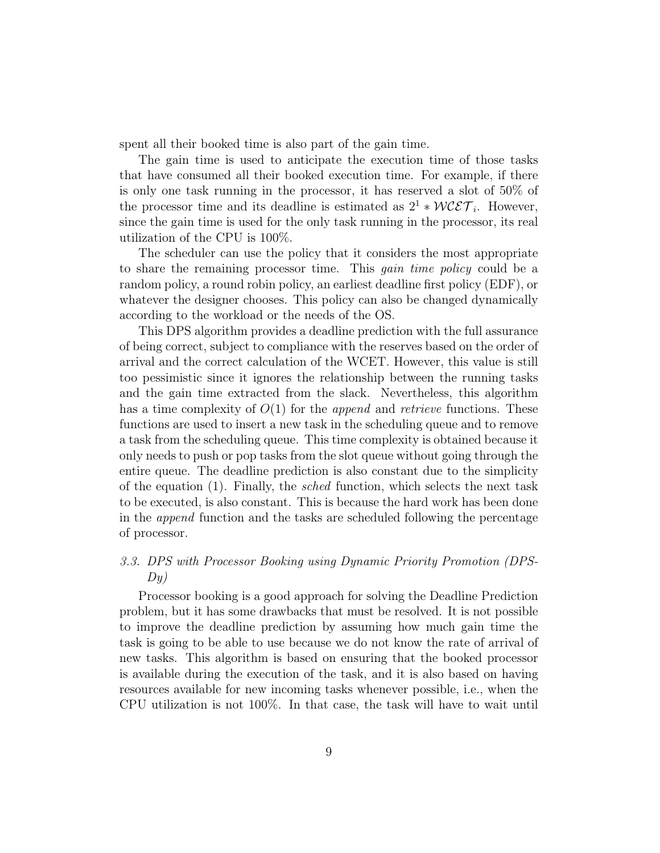spent all their booked time is also part of the gain time.

The gain time is used to anticipate the execution time of those tasks that have consumed all their booked execution time. For example, if there is only one task running in the processor, it has reserved a slot of 50% of the processor time and its deadline is estimated as  $2^1 * \mathcal{W} \mathcal{C} \mathcal{E} \mathcal{T}_i$ . However, since the gain time is used for the only task running in the processor, its real utilization of the CPU is 100%.

The scheduler can use the policy that it considers the most appropriate to share the remaining processor time. This gain time policy could be a random policy, a round robin policy, an earliest deadline first policy (EDF), or whatever the designer chooses. This policy can also be changed dynamically according to the workload or the needs of the OS.

This DPS algorithm provides a deadline prediction with the full assurance of being correct, subject to compliance with the reserves based on the order of arrival and the correct calculation of the WCET. However, this value is still too pessimistic since it ignores the relationship between the running tasks and the gain time extracted from the slack. Nevertheless, this algorithm has a time complexity of  $O(1)$  for the *append* and *retrieve* functions. These functions are used to insert a new task in the scheduling queue and to remove a task from the scheduling queue. This time complexity is obtained because it only needs to push or pop tasks from the slot queue without going through the entire queue. The deadline prediction is also constant due to the simplicity of the equation  $(1)$ . Finally, the *sched* function, which selects the next task to be executed, is also constant. This is because the hard work has been done in the append function and the tasks are scheduled following the percentage of processor.

# 3.3. DPS with Processor Booking using Dynamic Priority Promotion (DPS- $Dy)$

Processor booking is a good approach for solving the Deadline Prediction problem, but it has some drawbacks that must be resolved. It is not possible to improve the deadline prediction by assuming how much gain time the task is going to be able to use because we do not know the rate of arrival of new tasks. This algorithm is based on ensuring that the booked processor is available during the execution of the task, and it is also based on having resources available for new incoming tasks whenever possible, i.e., when the CPU utilization is not 100%. In that case, the task will have to wait until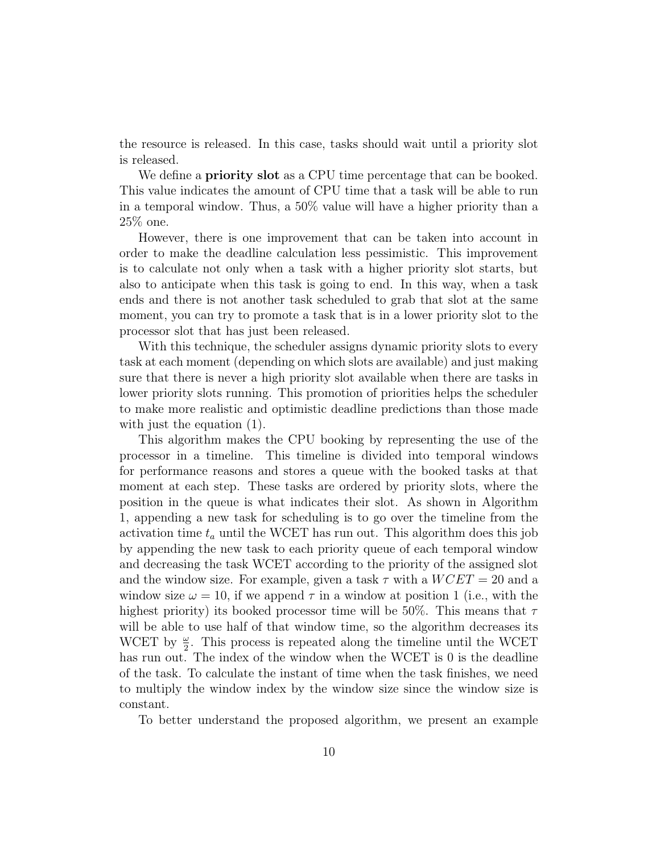the resource is released. In this case, tasks should wait until a priority slot is released.

We define a **priority slot** as a CPU time percentage that can be booked. This value indicates the amount of CPU time that a task will be able to run in a temporal window. Thus, a 50% value will have a higher priority than a 25% one.

However, there is one improvement that can be taken into account in order to make the deadline calculation less pessimistic. This improvement is to calculate not only when a task with a higher priority slot starts, but also to anticipate when this task is going to end. In this way, when a task ends and there is not another task scheduled to grab that slot at the same moment, you can try to promote a task that is in a lower priority slot to the processor slot that has just been released.

With this technique, the scheduler assigns dynamic priority slots to every task at each moment (depending on which slots are available) and just making sure that there is never a high priority slot available when there are tasks in lower priority slots running. This promotion of priorities helps the scheduler to make more realistic and optimistic deadline predictions than those made with just the equation  $(1)$ .

This algorithm makes the CPU booking by representing the use of the processor in a timeline. This timeline is divided into temporal windows for performance reasons and stores a queue with the booked tasks at that moment at each step. These tasks are ordered by priority slots, where the position in the queue is what indicates their slot. As shown in Algorithm 1, appending a new task for scheduling is to go over the timeline from the activation time  $t_a$  until the WCET has run out. This algorithm does this job by appending the new task to each priority queue of each temporal window and decreasing the task WCET according to the priority of the assigned slot and the window size. For example, given a task  $\tau$  with a  $W CET = 20$  and a window size  $\omega = 10$ , if we append  $\tau$  in a window at position 1 (i.e., with the highest priority) its booked processor time will be 50%. This means that  $\tau$ will be able to use half of that window time, so the algorithm decreases its WCET by  $\frac{\omega}{2}$ . This process is repeated along the timeline until the WCET has run out. The index of the window when the WCET is 0 is the deadline of the task. To calculate the instant of time when the task finishes, we need to multiply the window index by the window size since the window size is constant.

To better understand the proposed algorithm, we present an example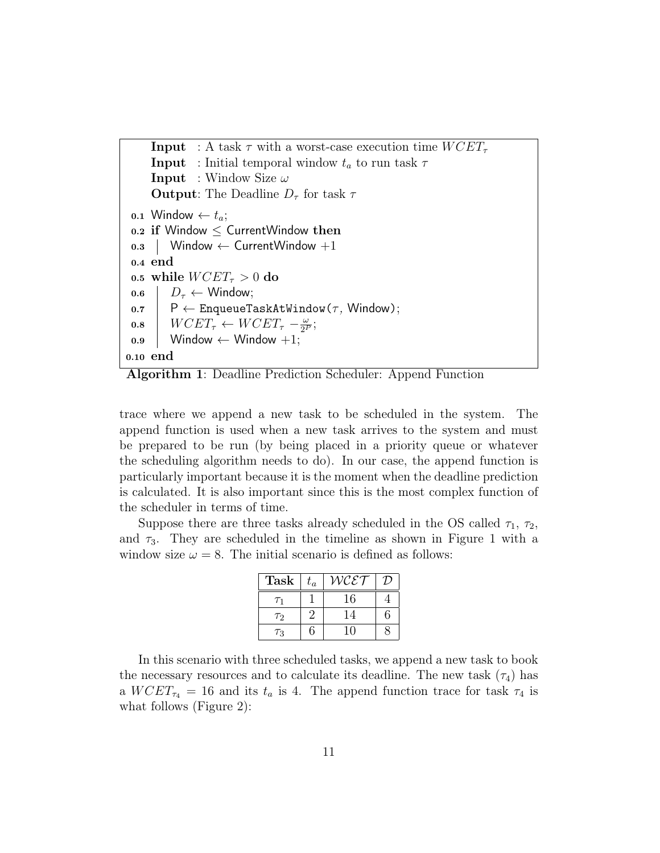```
Input : A task \tau with a worst-case execution time WCEPT_{\tau}Input : Initial temporal window t_a to run task \tauInput : Window Size \omegaOutput: The Deadline D_{\tau} for task \tau0.1 Window \leftarrow t_a;
 0.2 if Window \leq CurrentWindow then
 0.3 Window \leftarrow CurrentWindow +1
 0.4 end
 0.5 while WCEPT_\tau > 0 do
 0.6 D_{\tau} \leftarrow Window;
 0.7 \vert P \leftarrow EnqueueTaskAtWindow(\tau, Window);
 0.8 \mid WCEPT_{\tau} \leftarrow WCEPT_{\tau} - \frac{\omega}{2^P};0.9 | Window \leftarrow Window +1;
0.10 end
```


trace where we append a new task to be scheduled in the system. The append function is used when a new task arrives to the system and must be prepared to be run (by being placed in a priority queue or whatever the scheduling algorithm needs to do). In our case, the append function is particularly important because it is the moment when the deadline prediction is calculated. It is also important since this is the most complex function of the scheduler in terms of time.

Suppose there are three tasks already scheduled in the OS called  $\tau_1$ ,  $\tau_2$ , and  $\tau_3$ . They are scheduled in the timeline as shown in Figure 1 with a window size  $\omega = 8$ . The initial scenario is defined as follows:

| <b>Task</b> | $t_a$ | WCET | 7) |
|-------------|-------|------|----|
|             |       | 16   |    |
| $\tau_2$    | 2     | 14   | 6  |
| $\tau_3$    | ն     | 10   |    |

In this scenario with three scheduled tasks, we append a new task to book the necessary resources and to calculate its deadline. The new task  $(\tau_4)$  has a  $WCEPT_{\tau_4} = 16$  and its  $t_a$  is 4. The append function trace for task  $\tau_4$  is what follows (Figure 2):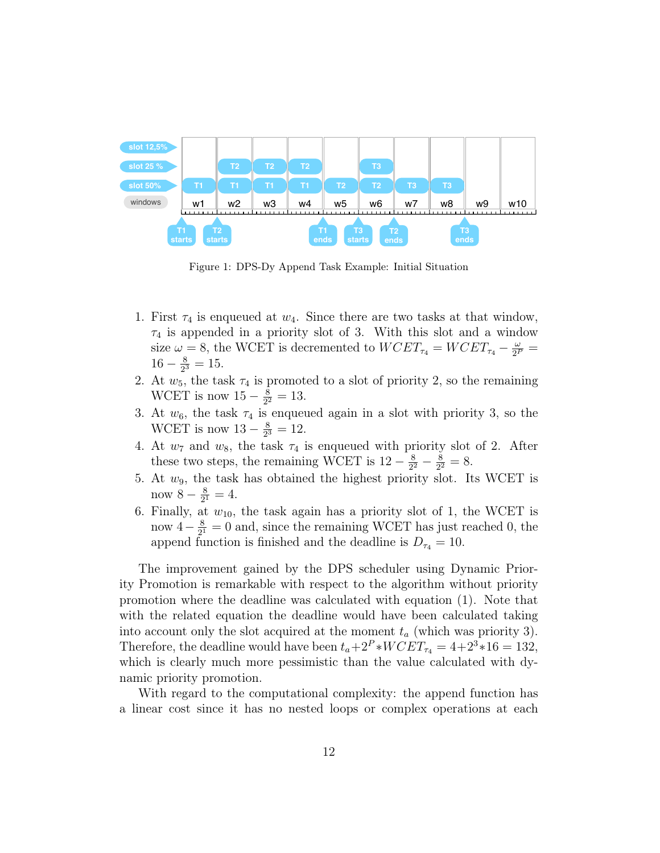

Figure 1: DPS-Dy Append Task Example: Initial Situation

- 1. First  $\tau_4$  is enqueued at  $w_4$ . Since there are two tasks at that window,  $\tau_4$  is appended in a priority slot of 3. With this slot and a window size  $\omega = 8$ , the WCET is decremented to  $WCEPT_{\tau_4} = WCEPT_{\tau_4} - \frac{\omega}{2^P} =$  $16 - \frac{8}{25}$  $\frac{8}{2^3} = 15.$
- 2. At  $w_5$ , the task  $\tau_4$  is promoted to a slot of priority 2, so the remaining WCET is now  $15 - \frac{8}{22}$  $\frac{8}{2^2} = 13.$
- 3. At  $w_6$ , the task  $\tau_4$  is enqueued again in a slot with priority 3, so the WCET is now  $13 - \frac{8}{25}$  $\frac{8}{2^3} = 12.$
- 4. At  $w_7$  and  $w_8$ , the task  $\tau_4$  is enqueued with priority slot of 2. After these two steps, the remaining WCET is  $12 - \frac{8}{24}$  $\frac{8}{2^2} - \frac{8}{2^2}$  $\frac{8}{2^2} = 8.$
- 5. At  $w_9$ , the task has obtained the highest priority slot. Its WCET is now  $8 - \frac{8}{21}$  $\frac{8}{2^1} = 4.$
- 6. Finally, at  $w_{10}$ , the task again has a priority slot of 1, the WCET is now  $4-\frac{8}{21}$  $\frac{8}{2^1} = 0$  and, since the remaining WCET has just reached 0, the append function is finished and the deadline is  $D_{\tau_4} = 10$ .

The improvement gained by the DPS scheduler using Dynamic Priority Promotion is remarkable with respect to the algorithm without priority promotion where the deadline was calculated with equation (1). Note that with the related equation the deadline would have been calculated taking into account only the slot acquired at the moment  $t_a$  (which was priority 3). Therefore, the deadline would have been  $t_a+2^P*WCEPT_{\tau_4} = 4+2^3*16 = 132$ , which is clearly much more pessimistic than the value calculated with dynamic priority promotion.

With regard to the computational complexity: the append function has a linear cost since it has no nested loops or complex operations at each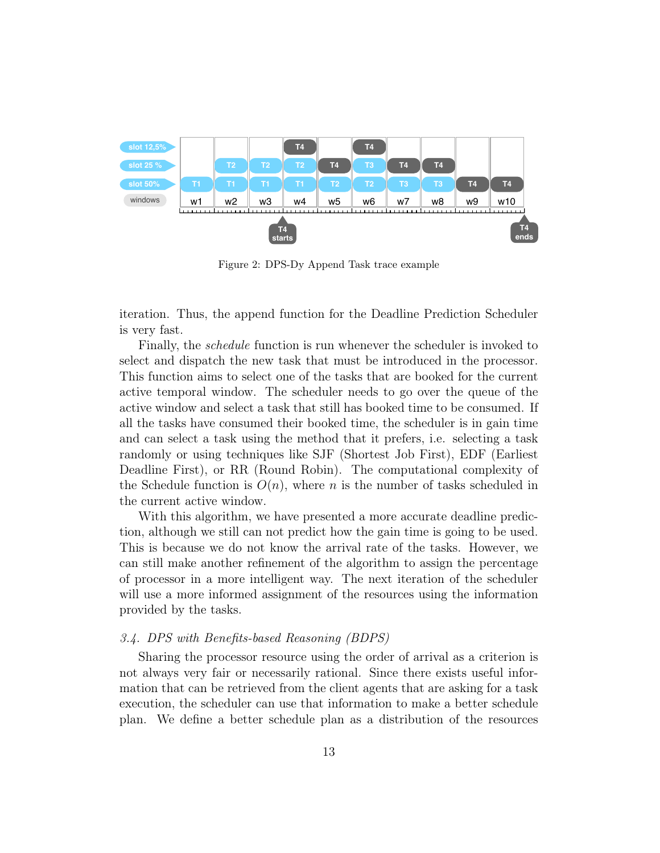

Figure 2: DPS-Dy Append Task trace example

iteration. Thus, the append function for the Deadline Prediction Scheduler is very fast.

Finally, the schedule function is run whenever the scheduler is invoked to select and dispatch the new task that must be introduced in the processor. This function aims to select one of the tasks that are booked for the current active temporal window. The scheduler needs to go over the queue of the active window and select a task that still has booked time to be consumed. If all the tasks have consumed their booked time, the scheduler is in gain time and can select a task using the method that it prefers, i.e. selecting a task randomly or using techniques like SJF (Shortest Job First), EDF (Earliest Deadline First), or RR (Round Robin). The computational complexity of the Schedule function is  $O(n)$ , where n is the number of tasks scheduled in the current active window.

With this algorithm, we have presented a more accurate deadline prediction, although we still can not predict how the gain time is going to be used. This is because we do not know the arrival rate of the tasks. However, we can still make another refinement of the algorithm to assign the percentage of processor in a more intelligent way. The next iteration of the scheduler will use a more informed assignment of the resources using the information provided by the tasks.

#### 3.4. DPS with Benefits-based Reasoning (BDPS)

Sharing the processor resource using the order of arrival as a criterion is not always very fair or necessarily rational. Since there exists useful information that can be retrieved from the client agents that are asking for a task execution, the scheduler can use that information to make a better schedule plan. We define a better schedule plan as a distribution of the resources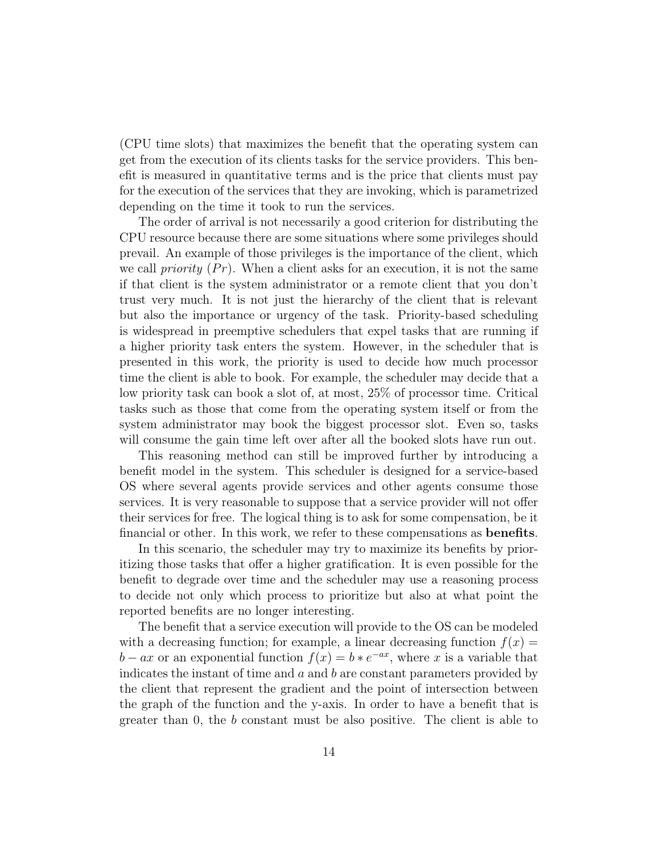(CPU time slots) that maximizes the benefit that the operating system can get from the execution of its clients tasks for the service providers. This benefit is measured in quantitative terms and is the price that clients must pay for the execution of the services that they are invoking, which is parametrized depending on the time it took to run the services.

The order of arrival is not necessarily a good criterion for distributing the CPU resource because there are some situations where some privileges should prevail. An example of those privileges is the importance of the client, which we call *priority*  $(Pr)$ . When a client asks for an execution, it is not the same if that client is the system administrator or a remote client that you don't trust very much. It is not just the hierarchy of the client that is relevant but also the importance or urgency of the task. Priority-based scheduling is widespread in preemptive schedulers that expel tasks that are running if a higher priority task enters the system. However, in the scheduler that is presented in this work, the priority is used to decide how much processor time the client is able to book. For example, the scheduler may decide that a low priority task can book a slot of, at most, 25% of processor time. Critical tasks such as those that come from the operating system itself or from the system administrator may book the biggest processor slot. Even so, tasks will consume the gain time left over after all the booked slots have run out.

This reasoning method can still be improved further by introducing a benefit model in the system. This scheduler is designed for a service-based OS where several agents provide services and other agents consume those services. It is very reasonable to suppose that a service provider will not offer their services for free. The logical thing is to ask for some compensation, be it financial or other. In this work, we refer to these compensations as benefits.

In this scenario, the scheduler may try to maximize its benefits by prioritizing those tasks that offer a higher gratification. It is even possible for the benefit to degrade over time and the scheduler may use a reasoning process to decide not only which process to prioritize but also at what point the reported benefits are no longer interesting.

The benefit that a service execution will provide to the OS can be modeled with a decreasing function; for example, a linear decreasing function  $f(x) =$  $b - ax$  or an exponential function  $f(x) = b * e^{-ax}$ , where x is a variable that indicates the instant of time and  $a$  and  $b$  are constant parameters provided by the client that represent the gradient and the point of intersection between the graph of the function and the y-axis. In order to have a benefit that is greater than 0, the  $b$  constant must be also positive. The client is able to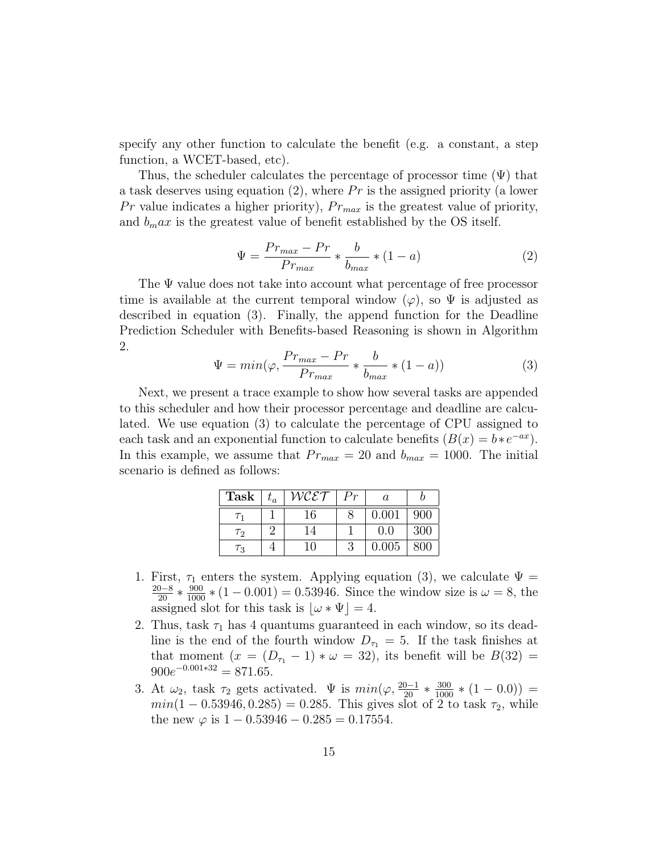specify any other function to calculate the benefit (e.g. a constant, a step function, a WCET-based, etc).

Thus, the scheduler calculates the percentage of processor time  $(\Psi)$  that a task deserves using equation  $(2)$ , where Pr is the assigned priority (a lower Pr value indicates a higher priority),  $Pr_{max}$  is the greatest value of priority, and  $b<sub>m</sub>ax$  is the greatest value of benefit established by the OS itself.

$$
\Psi = \frac{Pr_{max} - Pr}{Pr_{max}} * \frac{b}{b_{max}} * (1 - a)
$$
\n(2)

The Ψ value does not take into account what percentage of free processor time is available at the current temporal window  $(\varphi)$ , so  $\Psi$  is adjusted as described in equation (3). Finally, the append function for the Deadline Prediction Scheduler with Benefits-based Reasoning is shown in Algorithm 2.

$$
\Psi = min(\varphi, \frac{Pr_{max} - Pr}{Pr_{max}} * \frac{b}{b_{max}} * (1 - a))
$$
\n(3)

Next, we present a trace example to show how several tasks are appended to this scheduler and how their processor percentage and deadline are calculated. We use equation (3) to calculate the percentage of CPU assigned to each task and an exponential function to calculate benefits  $(B(x) = b * e^{-ax})$ . In this example, we assume that  $Pr_{max} = 20$  and  $b_{max} = 1000$ . The initial scenario is defined as follows:

| <b>Task</b> | $\iota_a$ | WCET | Pr | а     |     |
|-------------|-----------|------|----|-------|-----|
| $\tau_{1}$  |           | 16   |    | 0.001 | 900 |
| $\tau_2$    |           | 14   |    | 0.0   | 300 |
| $\tau_3$    |           |      | J  | 0.005 | 300 |

- 1. First,  $\tau_1$  enters the system. Applying equation (3), we calculate  $\Psi =$  $\frac{20-8}{20} * \frac{900}{1000} * (1 - 0.001) = 0.53946$ . Since the window size is  $\omega = 8$ , the assigned slot for this task is  $|\omega * \Psi| = 4$ .
- 2. Thus, task  $\tau_1$  has 4 quantums guaranteed in each window, so its deadline is the end of the fourth window  $D_{\tau_1} = 5$ . If the task finishes at that moment  $(x = (D_{\tau_1} - 1) * \omega = 32)$ , its benefit will be  $B(32) =$  $900e^{-0.001*32} = 871.65.$
- 3. At  $\omega_2$ , task  $\tau_2$  gets activated.  $\Psi$  is  $min(\varphi, \frac{20-1}{20} * \frac{300}{1000} * (1 0.0)) =$  $min(1 - 0.53946, 0.285) = 0.285$ . This gives slot of 2 to task  $\tau_2$ , while the new  $\varphi$  is  $1 - 0.53946 - 0.285 = 0.17554$ .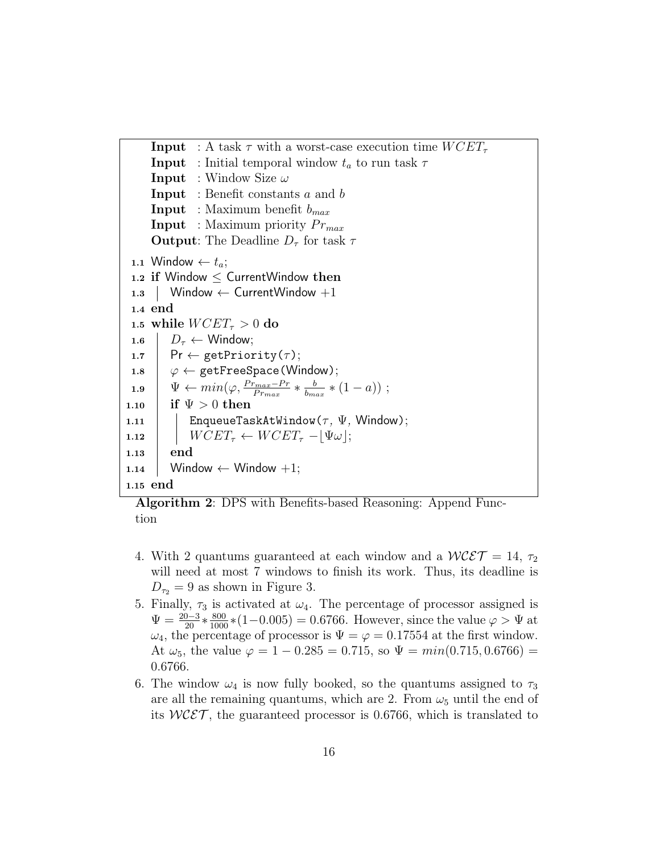```
Input : A task \tau with a worst-case execution time WCEPT_{\tau}Input : Initial temporal window t_a to run task \tauInput : Window Size \omegaInput : Benefit constants a and b
     Input : Maximum benefit b_{max}Input : Maximum priority Pr_{max}Output: The Deadline D_{\tau} for task \tau1.1 Window \leftarrow t_a;
 1.2 if Window \leq CurrentWindow then
 1.3 Window \leftarrow CurrentWindow +1
 1.4 end
 1.5 while WCEPT_\tau > 0 do
 1.6 D_{\tau} \leftarrow Window;
 1.7 Pr \leftarrow getPriority(\tau);
 1.8 \phi \leftarrow \text{getFreeSpace}(\text{Window});\Psi \leftarrow min(\varphi, \frac{Pr_{max}-Pr}{Pr_{max}} * \frac{b}{b_{min}})1.9 \Psi \leftarrow min(\varphi, \frac{Pr_{max} - Pr}{Pr_{max}} * \frac{b}{b_{max}} * (1 - a));
1.10 if \Psi > 0 then
1.11 | EnqueueTaskAtWindow(\tau, \Psi, Window);
1.12 | WCEPT_{\tau} \leftarrow WCEPT_{\tau} - |\Psi\omega|;1.13 end
1.14 Window \leftarrow Window +1;
1.15 end
```
Algorithm 2: DPS with Benefits-based Reasoning: Append Function

- 4. With 2 quantums guaranteed at each window and a  $WCET = 14$ ,  $\tau_2$ will need at most 7 windows to finish its work. Thus, its deadline is  $D_{\tau_2} = 9$  as shown in Figure 3.
- 5. Finally,  $\tau_3$  is activated at  $\omega_4$ . The percentage of processor assigned is  $\Psi = \frac{20-3}{20} * \frac{800}{1000} * (1-0.005) = 0.6766$ . However, since the value  $\varphi > \Psi$  at  $\omega_4$ , the percentage of processor is  $\Psi = \varphi = 0.17554$  at the first window. At  $\omega_5$ , the value  $\varphi = 1 - 0.285 = 0.715$ , so  $\Psi = min(0.715, 0.6766)$ 0.6766.
- 6. The window  $\omega_4$  is now fully booked, so the quantums assigned to  $\tau_3$ are all the remaining quantums, which are 2. From  $\omega_5$  until the end of its  $WCET$ , the guaranteed processor is 0.6766, which is translated to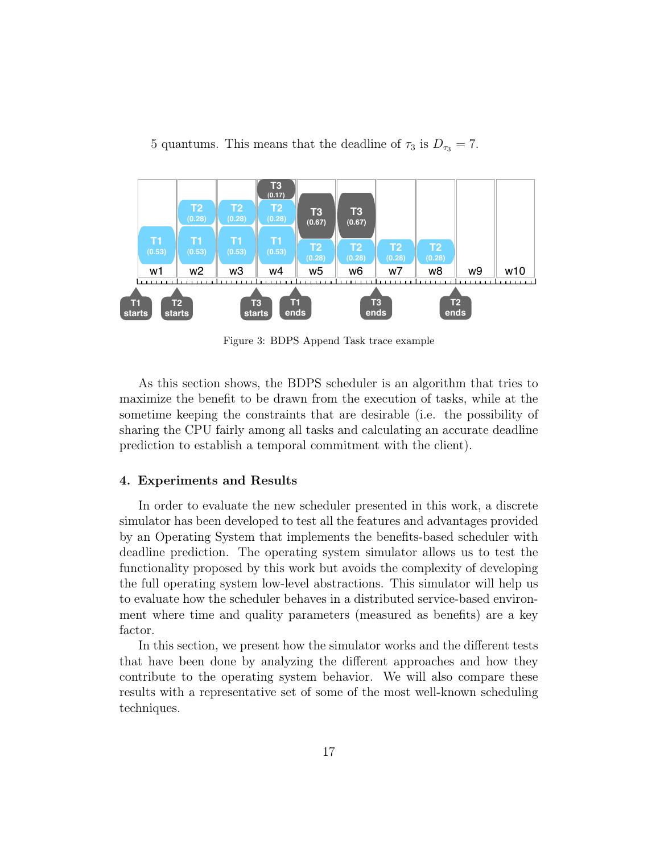5 quantums. This means that the deadline of  $\tau_3$  is  $D_{\tau_3} = 7$ .



Figure 3: BDPS Append Task trace example

As this section shows, the BDPS scheduler is an algorithm that tries to maximize the benefit to be drawn from the execution of tasks, while at the sometime keeping the constraints that are desirable (i.e. the possibility of sharing the CPU fairly among all tasks and calculating an accurate deadline prediction to establish a temporal commitment with the client).

#### 4. Experiments and Results

In order to evaluate the new scheduler presented in this work, a discrete simulator has been developed to test all the features and advantages provided by an Operating System that implements the benefits-based scheduler with deadline prediction. The operating system simulator allows us to test the functionality proposed by this work but avoids the complexity of developing the full operating system low-level abstractions. This simulator will help us to evaluate how the scheduler behaves in a distributed service-based environment where time and quality parameters (measured as benefits) are a key factor.

In this section, we present how the simulator works and the different tests that have been done by analyzing the different approaches and how they contribute to the operating system behavior. We will also compare these results with a representative set of some of the most well-known scheduling techniques.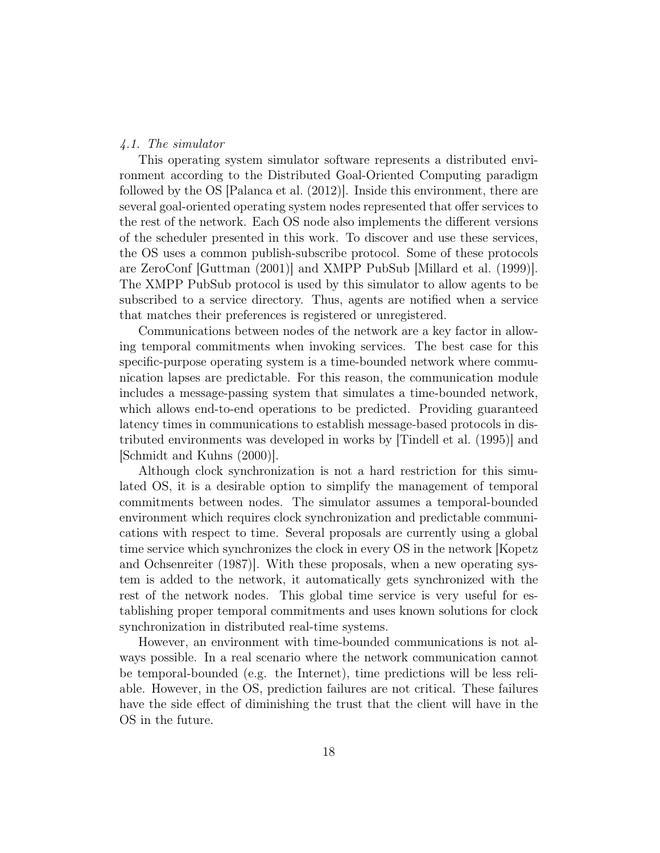#### 4.1. The simulator

This operating system simulator software represents a distributed environment according to the Distributed Goal-Oriented Computing paradigm followed by the OS [Palanca et al. (2012)]. Inside this environment, there are several goal-oriented operating system nodes represented that offer services to the rest of the network. Each OS node also implements the different versions of the scheduler presented in this work. To discover and use these services, the OS uses a common publish-subscribe protocol. Some of these protocols are ZeroConf [Guttman (2001)] and XMPP PubSub [Millard et al. (1999)]. The XMPP PubSub protocol is used by this simulator to allow agents to be subscribed to a service directory. Thus, agents are notified when a service that matches their preferences is registered or unregistered.

Communications between nodes of the network are a key factor in allowing temporal commitments when invoking services. The best case for this specific-purpose operating system is a time-bounded network where communication lapses are predictable. For this reason, the communication module includes a message-passing system that simulates a time-bounded network, which allows end-to-end operations to be predicted. Providing guaranteed latency times in communications to establish message-based protocols in distributed environments was developed in works by [Tindell et al. (1995)] and [Schmidt and Kuhns (2000)].

Although clock synchronization is not a hard restriction for this simulated OS, it is a desirable option to simplify the management of temporal commitments between nodes. The simulator assumes a temporal-bounded environment which requires clock synchronization and predictable communications with respect to time. Several proposals are currently using a global time service which synchronizes the clock in every OS in the network [Kopetz and Ochsenreiter (1987)]. With these proposals, when a new operating system is added to the network, it automatically gets synchronized with the rest of the network nodes. This global time service is very useful for establishing proper temporal commitments and uses known solutions for clock synchronization in distributed real-time systems.

However, an environment with time-bounded communications is not always possible. In a real scenario where the network communication cannot be temporal-bounded (e.g. the Internet), time predictions will be less reliable. However, in the OS, prediction failures are not critical. These failures have the side effect of diminishing the trust that the client will have in the OS in the future.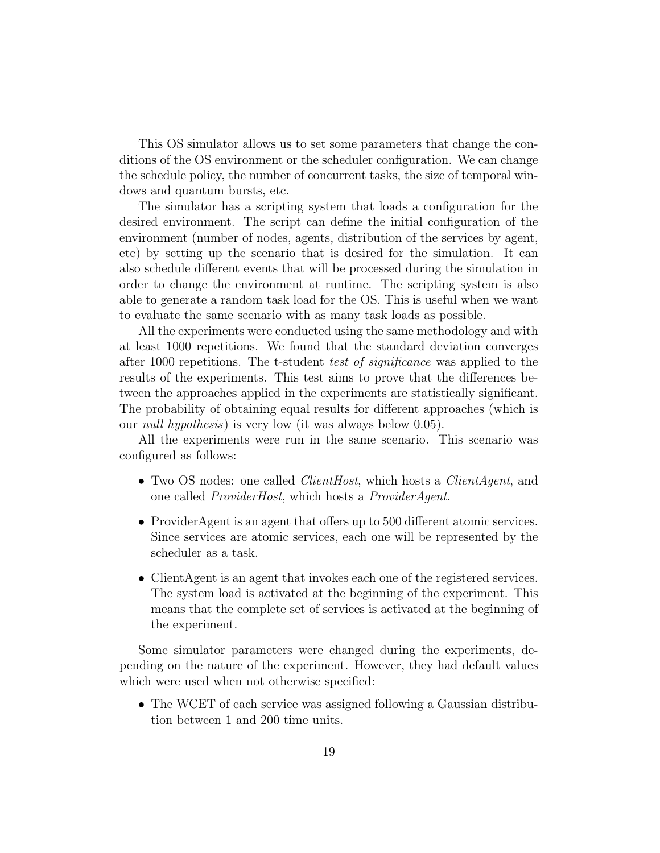This OS simulator allows us to set some parameters that change the conditions of the OS environment or the scheduler configuration. We can change the schedule policy, the number of concurrent tasks, the size of temporal windows and quantum bursts, etc.

The simulator has a scripting system that loads a configuration for the desired environment. The script can define the initial configuration of the environment (number of nodes, agents, distribution of the services by agent, etc) by setting up the scenario that is desired for the simulation. It can also schedule different events that will be processed during the simulation in order to change the environment at runtime. The scripting system is also able to generate a random task load for the OS. This is useful when we want to evaluate the same scenario with as many task loads as possible.

All the experiments were conducted using the same methodology and with at least 1000 repetitions. We found that the standard deviation converges after 1000 repetitions. The t-student test of significance was applied to the results of the experiments. This test aims to prove that the differences between the approaches applied in the experiments are statistically significant. The probability of obtaining equal results for different approaches (which is our null hypothesis) is very low (it was always below 0.05).

All the experiments were run in the same scenario. This scenario was configured as follows:

- Two OS nodes: one called *ClientHost*, which hosts a *ClientAgent*, and one called ProviderHost, which hosts a ProviderAgent.
- ProviderAgent is an agent that offers up to 500 different atomic services. Since services are atomic services, each one will be represented by the scheduler as a task.
- ClientAgent is an agent that invokes each one of the registered services. The system load is activated at the beginning of the experiment. This means that the complete set of services is activated at the beginning of the experiment.

Some simulator parameters were changed during the experiments, depending on the nature of the experiment. However, they had default values which were used when not otherwise specified:

• The WCET of each service was assigned following a Gaussian distribution between 1 and 200 time units.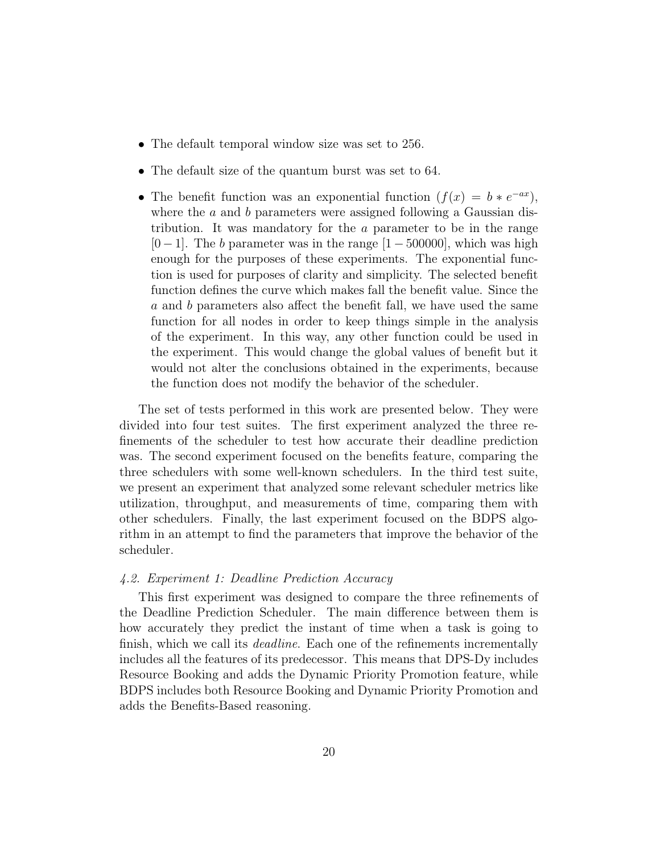- The default temporal window size was set to 256.
- The default size of the quantum burst was set to 64.
- The benefit function was an exponential function  $(f(x) = b * e^{-ax})$ , where the  $a$  and  $b$  parameters were assigned following a Gaussian distribution. It was mandatory for the a parameter to be in the range  $[0-1]$ . The b parameter was in the range  $[1-500000]$ , which was high enough for the purposes of these experiments. The exponential function is used for purposes of clarity and simplicity. The selected benefit function defines the curve which makes fall the benefit value. Since the a and b parameters also affect the benefit fall, we have used the same function for all nodes in order to keep things simple in the analysis of the experiment. In this way, any other function could be used in the experiment. This would change the global values of benefit but it would not alter the conclusions obtained in the experiments, because the function does not modify the behavior of the scheduler.

The set of tests performed in this work are presented below. They were divided into four test suites. The first experiment analyzed the three refinements of the scheduler to test how accurate their deadline prediction was. The second experiment focused on the benefits feature, comparing the three schedulers with some well-known schedulers. In the third test suite, we present an experiment that analyzed some relevant scheduler metrics like utilization, throughput, and measurements of time, comparing them with other schedulers. Finally, the last experiment focused on the BDPS algorithm in an attempt to find the parameters that improve the behavior of the scheduler.

#### 4.2. Experiment 1: Deadline Prediction Accuracy

This first experiment was designed to compare the three refinements of the Deadline Prediction Scheduler. The main difference between them is how accurately they predict the instant of time when a task is going to finish, which we call its *deadline*. Each one of the refinements incrementally includes all the features of its predecessor. This means that DPS-Dy includes Resource Booking and adds the Dynamic Priority Promotion feature, while BDPS includes both Resource Booking and Dynamic Priority Promotion and adds the Benefits-Based reasoning.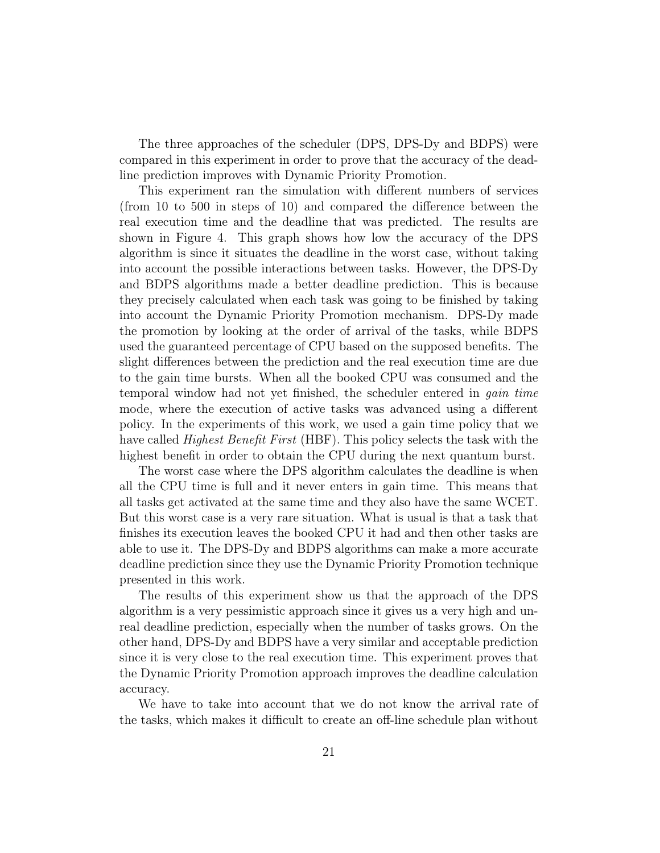The three approaches of the scheduler (DPS, DPS-Dy and BDPS) were compared in this experiment in order to prove that the accuracy of the deadline prediction improves with Dynamic Priority Promotion.

This experiment ran the simulation with different numbers of services (from 10 to 500 in steps of 10) and compared the difference between the real execution time and the deadline that was predicted. The results are shown in Figure 4. This graph shows how low the accuracy of the DPS algorithm is since it situates the deadline in the worst case, without taking into account the possible interactions between tasks. However, the DPS-Dy and BDPS algorithms made a better deadline prediction. This is because they precisely calculated when each task was going to be finished by taking into account the Dynamic Priority Promotion mechanism. DPS-Dy made the promotion by looking at the order of arrival of the tasks, while BDPS used the guaranteed percentage of CPU based on the supposed benefits. The slight differences between the prediction and the real execution time are due to the gain time bursts. When all the booked CPU was consumed and the temporal window had not yet finished, the scheduler entered in gain time mode, where the execution of active tasks was advanced using a different policy. In the experiments of this work, we used a gain time policy that we have called *Highest Benefit First* (HBF). This policy selects the task with the highest benefit in order to obtain the CPU during the next quantum burst.

The worst case where the DPS algorithm calculates the deadline is when all the CPU time is full and it never enters in gain time. This means that all tasks get activated at the same time and they also have the same WCET. But this worst case is a very rare situation. What is usual is that a task that finishes its execution leaves the booked CPU it had and then other tasks are able to use it. The DPS-Dy and BDPS algorithms can make a more accurate deadline prediction since they use the Dynamic Priority Promotion technique presented in this work.

The results of this experiment show us that the approach of the DPS algorithm is a very pessimistic approach since it gives us a very high and unreal deadline prediction, especially when the number of tasks grows. On the other hand, DPS-Dy and BDPS have a very similar and acceptable prediction since it is very close to the real execution time. This experiment proves that the Dynamic Priority Promotion approach improves the deadline calculation accuracy.

We have to take into account that we do not know the arrival rate of the tasks, which makes it difficult to create an off-line schedule plan without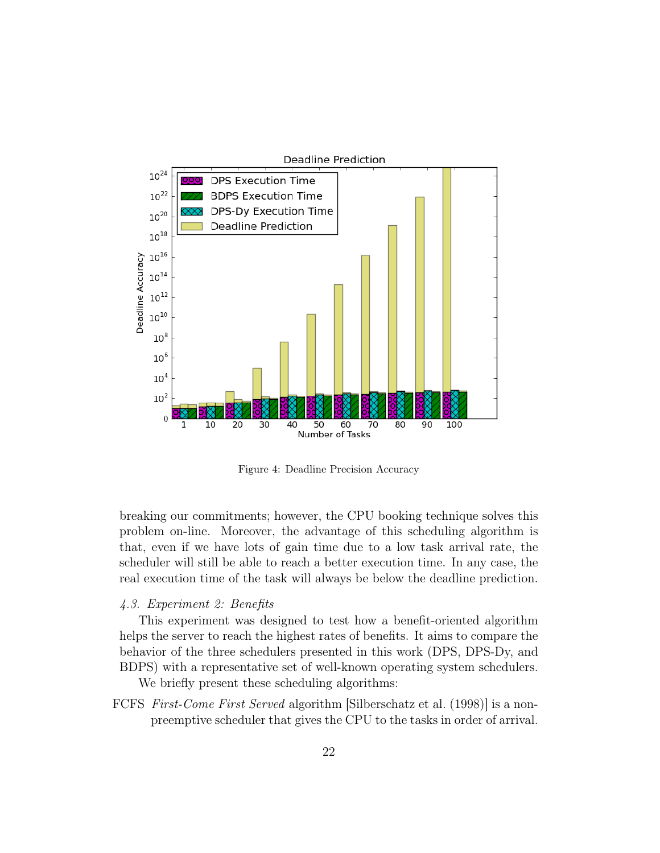

Figure 4: Deadline Precision Accuracy

breaking our commitments; however, the CPU booking technique solves this problem on-line. Moreover, the advantage of this scheduling algorithm is that, even if we have lots of gain time due to a low task arrival rate, the scheduler will still be able to reach a better execution time. In any case, the real execution time of the task will always be below the deadline prediction.

#### 4.3. Experiment 2: Benefits

This experiment was designed to test how a benefit-oriented algorithm helps the server to reach the highest rates of benefits. It aims to compare the behavior of the three schedulers presented in this work (DPS, DPS-Dy, and BDPS) with a representative set of well-known operating system schedulers.

We briefly present these scheduling algorithms:

FCFS First-Come First Served algorithm [Silberschatz et al. (1998)] is a nonpreemptive scheduler that gives the CPU to the tasks in order of arrival.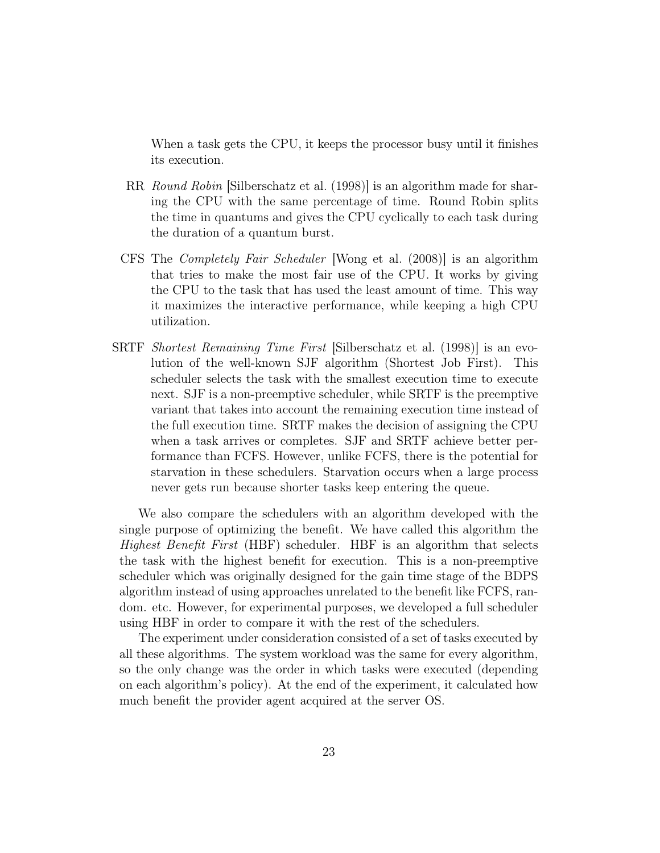When a task gets the CPU, it keeps the processor busy until it finishes its execution.

- RR Round Robin [Silberschatz et al. (1998)] is an algorithm made for sharing the CPU with the same percentage of time. Round Robin splits the time in quantums and gives the CPU cyclically to each task during the duration of a quantum burst.
- CFS The Completely Fair Scheduler [Wong et al. (2008)] is an algorithm that tries to make the most fair use of the CPU. It works by giving the CPU to the task that has used the least amount of time. This way it maximizes the interactive performance, while keeping a high CPU utilization.
- SRTF Shortest Remaining Time First [Silberschatz et al. (1998)] is an evolution of the well-known SJF algorithm (Shortest Job First). This scheduler selects the task with the smallest execution time to execute next. SJF is a non-preemptive scheduler, while SRTF is the preemptive variant that takes into account the remaining execution time instead of the full execution time. SRTF makes the decision of assigning the CPU when a task arrives or completes. SJF and SRTF achieve better performance than FCFS. However, unlike FCFS, there is the potential for starvation in these schedulers. Starvation occurs when a large process never gets run because shorter tasks keep entering the queue.

We also compare the schedulers with an algorithm developed with the single purpose of optimizing the benefit. We have called this algorithm the Highest Benefit First (HBF) scheduler. HBF is an algorithm that selects the task with the highest benefit for execution. This is a non-preemptive scheduler which was originally designed for the gain time stage of the BDPS algorithm instead of using approaches unrelated to the benefit like FCFS, random. etc. However, for experimental purposes, we developed a full scheduler using HBF in order to compare it with the rest of the schedulers.

The experiment under consideration consisted of a set of tasks executed by all these algorithms. The system workload was the same for every algorithm, so the only change was the order in which tasks were executed (depending on each algorithm's policy). At the end of the experiment, it calculated how much benefit the provider agent acquired at the server OS.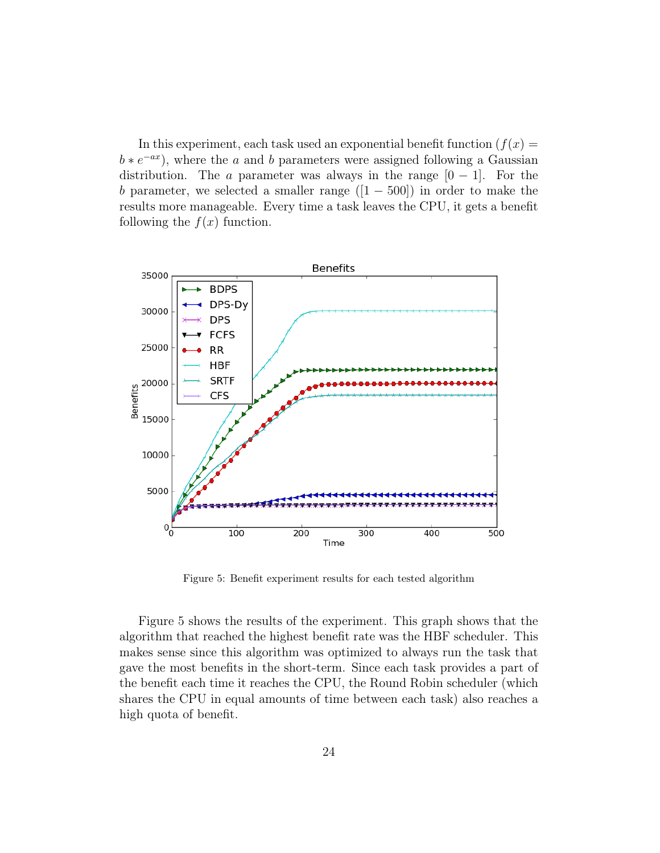In this experiment, each task used an exponential benefit function ( $f(x) =$  $b * e^{-ax}$ , where the a and b parameters were assigned following a Gaussian distribution. The a parameter was always in the range  $[0 - 1]$ . For the b parameter, we selected a smaller range  $([1 - 500])$  in order to make the results more manageable. Every time a task leaves the CPU, it gets a benefit following the  $f(x)$  function.



Figure 5: Benefit experiment results for each tested algorithm

Figure 5 shows the results of the experiment. This graph shows that the algorithm that reached the highest benefit rate was the HBF scheduler. This makes sense since this algorithm was optimized to always run the task that gave the most benefits in the short-term. Since each task provides a part of the benefit each time it reaches the CPU, the Round Robin scheduler (which shares the CPU in equal amounts of time between each task) also reaches a high quota of benefit.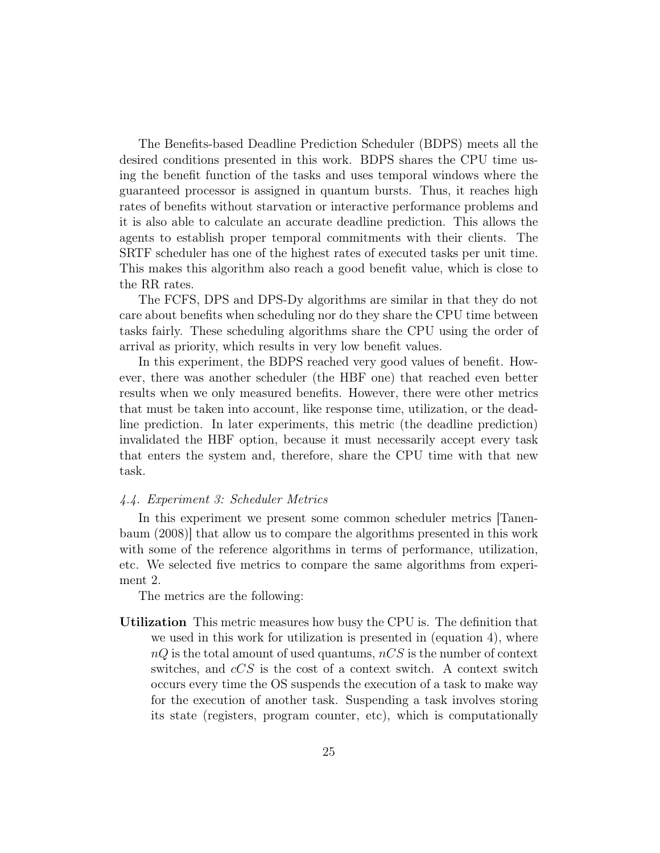The Benefits-based Deadline Prediction Scheduler (BDPS) meets all the desired conditions presented in this work. BDPS shares the CPU time using the benefit function of the tasks and uses temporal windows where the guaranteed processor is assigned in quantum bursts. Thus, it reaches high rates of benefits without starvation or interactive performance problems and it is also able to calculate an accurate deadline prediction. This allows the agents to establish proper temporal commitments with their clients. The SRTF scheduler has one of the highest rates of executed tasks per unit time. This makes this algorithm also reach a good benefit value, which is close to the RR rates.

The FCFS, DPS and DPS-Dy algorithms are similar in that they do not care about benefits when scheduling nor do they share the CPU time between tasks fairly. These scheduling algorithms share the CPU using the order of arrival as priority, which results in very low benefit values.

In this experiment, the BDPS reached very good values of benefit. However, there was another scheduler (the HBF one) that reached even better results when we only measured benefits. However, there were other metrics that must be taken into account, like response time, utilization, or the deadline prediction. In later experiments, this metric (the deadline prediction) invalidated the HBF option, because it must necessarily accept every task that enters the system and, therefore, share the CPU time with that new task.

#### 4.4. Experiment 3: Scheduler Metrics

In this experiment we present some common scheduler metrics [Tanenbaum (2008)] that allow us to compare the algorithms presented in this work with some of the reference algorithms in terms of performance, utilization, etc. We selected five metrics to compare the same algorithms from experiment 2.

The metrics are the following:

Utilization This metric measures how busy the CPU is. The definition that we used in this work for utilization is presented in (equation 4), where  $nQ$  is the total amount of used quantums,  $nCS$  is the number of context switches, and  $cCS$  is the cost of a context switch. A context switch occurs every time the OS suspends the execution of a task to make way for the execution of another task. Suspending a task involves storing its state (registers, program counter, etc), which is computationally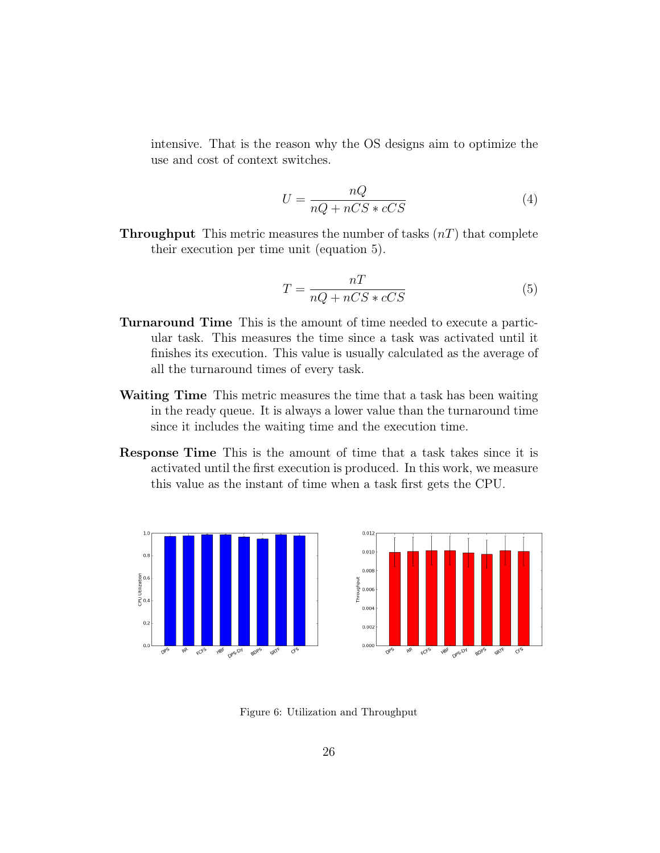intensive. That is the reason why the OS designs aim to optimize the use and cost of context switches.

$$
U = \frac{nQ}{nQ + nCS * cCS} \tag{4}
$$

**Throughput** This metric measures the number of tasks  $(nT)$  that complete their execution per time unit (equation 5).

$$
T = \frac{nT}{nQ + nCS * cCS} \tag{5}
$$

- Turnaround Time This is the amount of time needed to execute a particular task. This measures the time since a task was activated until it finishes its execution. This value is usually calculated as the average of all the turnaround times of every task.
- Waiting Time This metric measures the time that a task has been waiting in the ready queue. It is always a lower value than the turnaround time since it includes the waiting time and the execution time.
- Response Time This is the amount of time that a task takes since it is activated until the first execution is produced. In this work, we measure this value as the instant of time when a task first gets the CPU.



Figure 6: Utilization and Throughput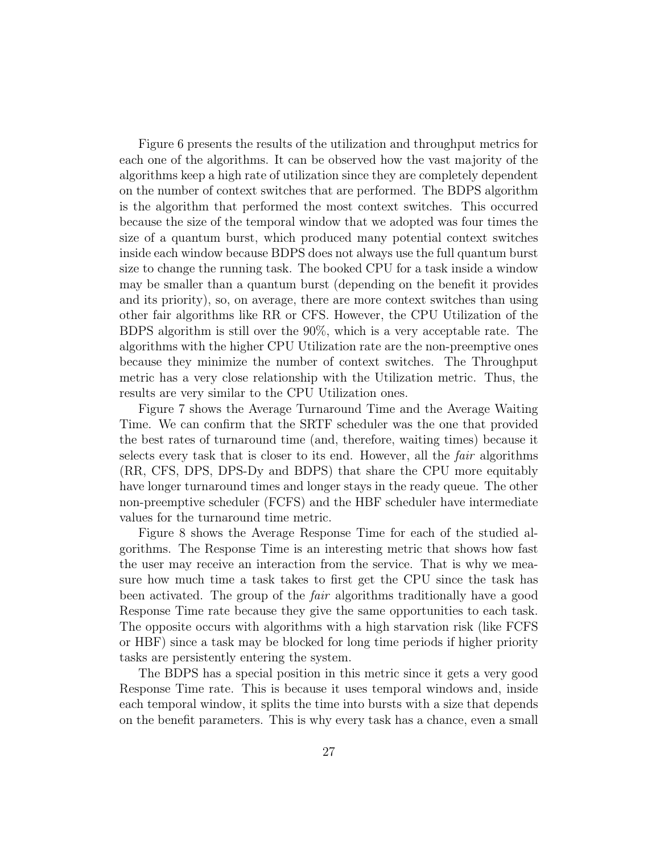Figure 6 presents the results of the utilization and throughput metrics for each one of the algorithms. It can be observed how the vast majority of the algorithms keep a high rate of utilization since they are completely dependent on the number of context switches that are performed. The BDPS algorithm is the algorithm that performed the most context switches. This occurred because the size of the temporal window that we adopted was four times the size of a quantum burst, which produced many potential context switches inside each window because BDPS does not always use the full quantum burst size to change the running task. The booked CPU for a task inside a window may be smaller than a quantum burst (depending on the benefit it provides and its priority), so, on average, there are more context switches than using other fair algorithms like RR or CFS. However, the CPU Utilization of the BDPS algorithm is still over the 90%, which is a very acceptable rate. The algorithms with the higher CPU Utilization rate are the non-preemptive ones because they minimize the number of context switches. The Throughput metric has a very close relationship with the Utilization metric. Thus, the results are very similar to the CPU Utilization ones.

Figure 7 shows the Average Turnaround Time and the Average Waiting Time. We can confirm that the SRTF scheduler was the one that provided the best rates of turnaround time (and, therefore, waiting times) because it selects every task that is closer to its end. However, all the fair algorithms (RR, CFS, DPS, DPS-Dy and BDPS) that share the CPU more equitably have longer turnaround times and longer stays in the ready queue. The other non-preemptive scheduler (FCFS) and the HBF scheduler have intermediate values for the turnaround time metric.

Figure 8 shows the Average Response Time for each of the studied algorithms. The Response Time is an interesting metric that shows how fast the user may receive an interaction from the service. That is why we measure how much time a task takes to first get the CPU since the task has been activated. The group of the fair algorithms traditionally have a good Response Time rate because they give the same opportunities to each task. The opposite occurs with algorithms with a high starvation risk (like FCFS or HBF) since a task may be blocked for long time periods if higher priority tasks are persistently entering the system.

The BDPS has a special position in this metric since it gets a very good Response Time rate. This is because it uses temporal windows and, inside each temporal window, it splits the time into bursts with a size that depends on the benefit parameters. This is why every task has a chance, even a small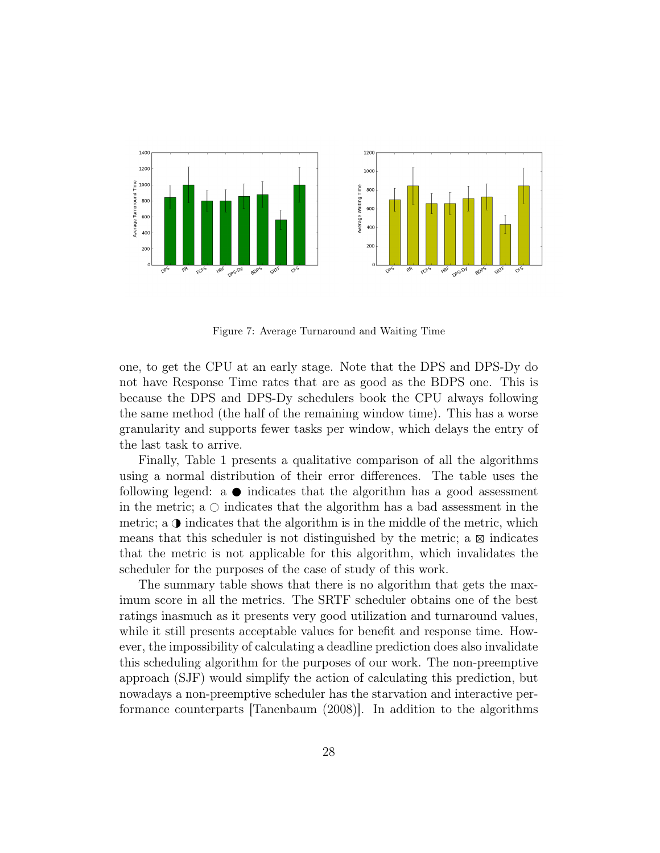

Figure 7: Average Turnaround and Waiting Time

one, to get the CPU at an early stage. Note that the DPS and DPS-Dy do not have Response Time rates that are as good as the BDPS one. This is because the DPS and DPS-Dy schedulers book the CPU always following the same method (the half of the remaining window time). This has a worse granularity and supports fewer tasks per window, which delays the entry of the last task to arrive.

Finally, Table 1 presents a qualitative comparison of all the algorithms using a normal distribution of their error differences. The table uses the following legend: a  $\bullet$  indicates that the algorithm has a good assessment in the metric; a  $\circ$  indicates that the algorithm has a bad assessment in the metric; a  $\bigcirc$  indicates that the algorithm is in the middle of the metric, which means that this scheduler is not distinguished by the metric; a  $\boxtimes$  indicates that the metric is not applicable for this algorithm, which invalidates the scheduler for the purposes of the case of study of this work.

The summary table shows that there is no algorithm that gets the maximum score in all the metrics. The SRTF scheduler obtains one of the best ratings inasmuch as it presents very good utilization and turnaround values, while it still presents acceptable values for benefit and response time. However, the impossibility of calculating a deadline prediction does also invalidate this scheduling algorithm for the purposes of our work. The non-preemptive approach (SJF) would simplify the action of calculating this prediction, but nowadays a non-preemptive scheduler has the starvation and interactive performance counterparts [Tanenbaum (2008)]. In addition to the algorithms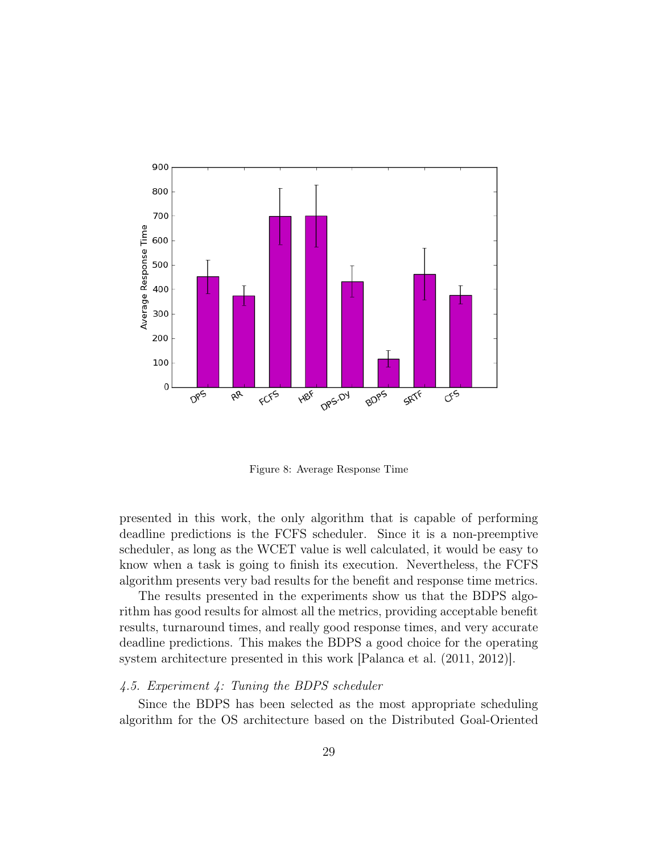

Figure 8: Average Response Time

presented in this work, the only algorithm that is capable of performing deadline predictions is the FCFS scheduler. Since it is a non-preemptive scheduler, as long as the WCET value is well calculated, it would be easy to know when a task is going to finish its execution. Nevertheless, the FCFS algorithm presents very bad results for the benefit and response time metrics.

The results presented in the experiments show us that the BDPS algorithm has good results for almost all the metrics, providing acceptable benefit results, turnaround times, and really good response times, and very accurate deadline predictions. This makes the BDPS a good choice for the operating system architecture presented in this work [Palanca et al. (2011, 2012)].

### 4.5. Experiment 4: Tuning the BDPS scheduler

Since the BDPS has been selected as the most appropriate scheduling algorithm for the OS architecture based on the Distributed Goal-Oriented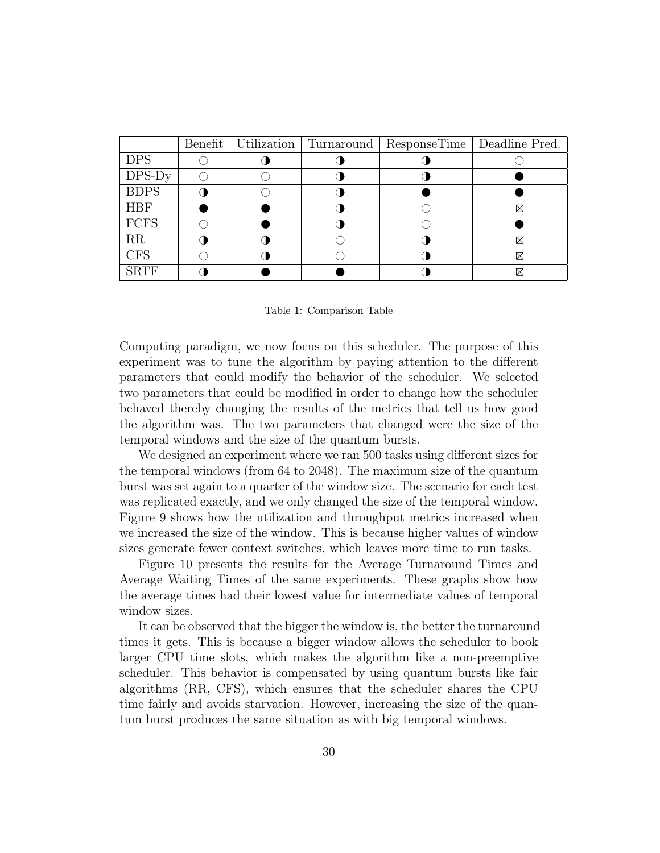|             | Benefit | Utilization | Turnaround | ResponseTime   Deadline Pred. |
|-------------|---------|-------------|------------|-------------------------------|
| <b>DPS</b>  |         |             |            |                               |
| $DPS-Dy$    |         |             |            |                               |
| <b>BDPS</b> |         |             |            |                               |
| <b>HBF</b>  |         |             |            | ⊠                             |
| FCFS        |         |             |            |                               |
| RR          |         |             |            | ⊠                             |
| <b>CFS</b>  |         |             |            | ⊠                             |
| <b>SRTF</b> |         |             |            | ⊠                             |

Table 1: Comparison Table

Computing paradigm, we now focus on this scheduler. The purpose of this experiment was to tune the algorithm by paying attention to the different parameters that could modify the behavior of the scheduler. We selected two parameters that could be modified in order to change how the scheduler behaved thereby changing the results of the metrics that tell us how good the algorithm was. The two parameters that changed were the size of the temporal windows and the size of the quantum bursts.

We designed an experiment where we ran 500 tasks using different sizes for the temporal windows (from 64 to 2048). The maximum size of the quantum burst was set again to a quarter of the window size. The scenario for each test was replicated exactly, and we only changed the size of the temporal window. Figure 9 shows how the utilization and throughput metrics increased when we increased the size of the window. This is because higher values of window sizes generate fewer context switches, which leaves more time to run tasks.

Figure 10 presents the results for the Average Turnaround Times and Average Waiting Times of the same experiments. These graphs show how the average times had their lowest value for intermediate values of temporal window sizes.

It can be observed that the bigger the window is, the better the turnaround times it gets. This is because a bigger window allows the scheduler to book larger CPU time slots, which makes the algorithm like a non-preemptive scheduler. This behavior is compensated by using quantum bursts like fair algorithms (RR, CFS), which ensures that the scheduler shares the CPU time fairly and avoids starvation. However, increasing the size of the quantum burst produces the same situation as with big temporal windows.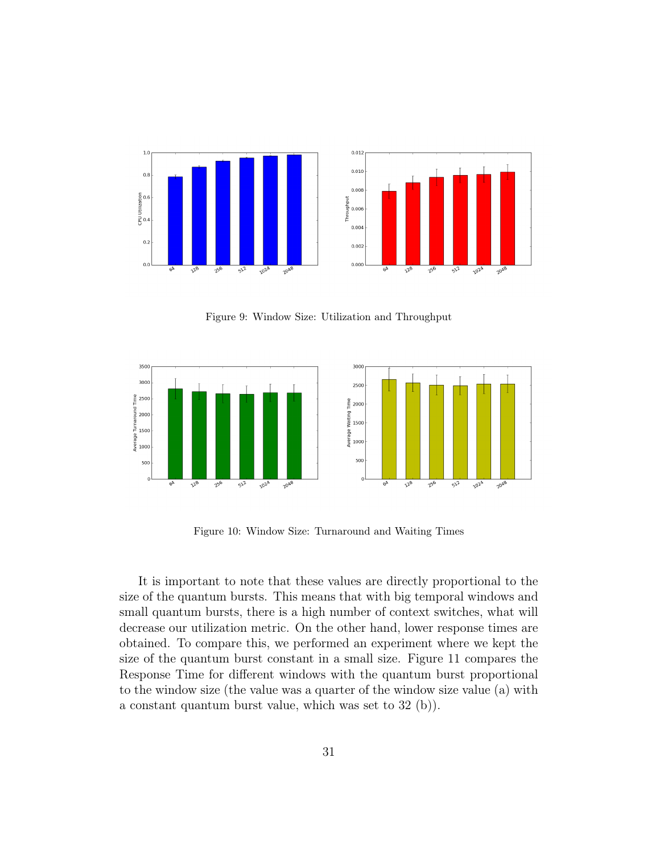

Figure 9: Window Size: Utilization and Throughput



Figure 10: Window Size: Turnaround and Waiting Times

It is important to note that these values are directly proportional to the size of the quantum bursts. This means that with big temporal windows and small quantum bursts, there is a high number of context switches, what will decrease our utilization metric. On the other hand, lower response times are obtained. To compare this, we performed an experiment where we kept the size of the quantum burst constant in a small size. Figure 11 compares the Response Time for different windows with the quantum burst proportional to the window size (the value was a quarter of the window size value (a) with a constant quantum burst value, which was set to 32 (b)).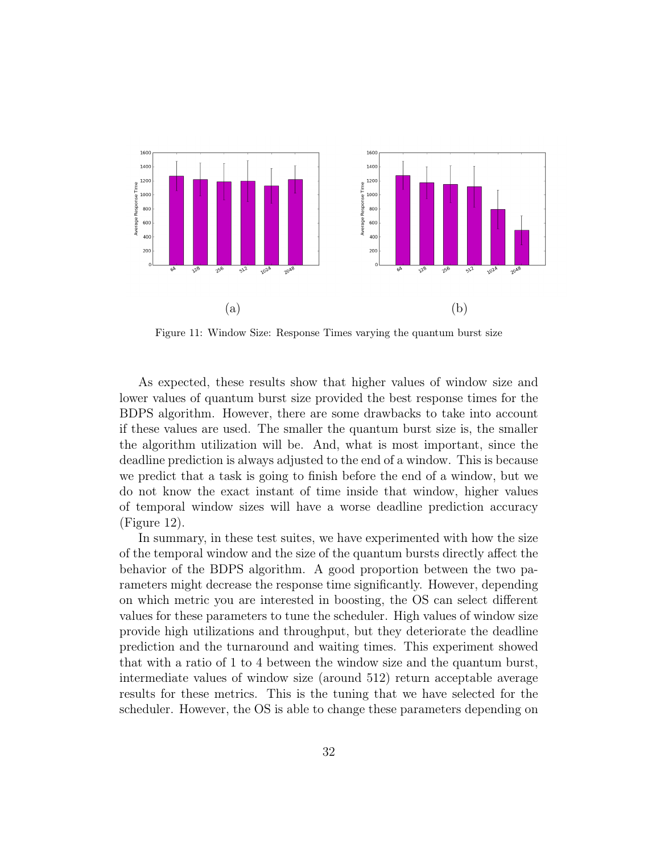

Figure 11: Window Size: Response Times varying the quantum burst size

As expected, these results show that higher values of window size and lower values of quantum burst size provided the best response times for the BDPS algorithm. However, there are some drawbacks to take into account if these values are used. The smaller the quantum burst size is, the smaller the algorithm utilization will be. And, what is most important, since the deadline prediction is always adjusted to the end of a window. This is because we predict that a task is going to finish before the end of a window, but we do not know the exact instant of time inside that window, higher values of temporal window sizes will have a worse deadline prediction accuracy (Figure 12).

In summary, in these test suites, we have experimented with how the size of the temporal window and the size of the quantum bursts directly affect the behavior of the BDPS algorithm. A good proportion between the two parameters might decrease the response time significantly. However, depending on which metric you are interested in boosting, the OS can select different values for these parameters to tune the scheduler. High values of window size provide high utilizations and throughput, but they deteriorate the deadline prediction and the turnaround and waiting times. This experiment showed that with a ratio of 1 to 4 between the window size and the quantum burst, intermediate values of window size (around 512) return acceptable average results for these metrics. This is the tuning that we have selected for the scheduler. However, the OS is able to change these parameters depending on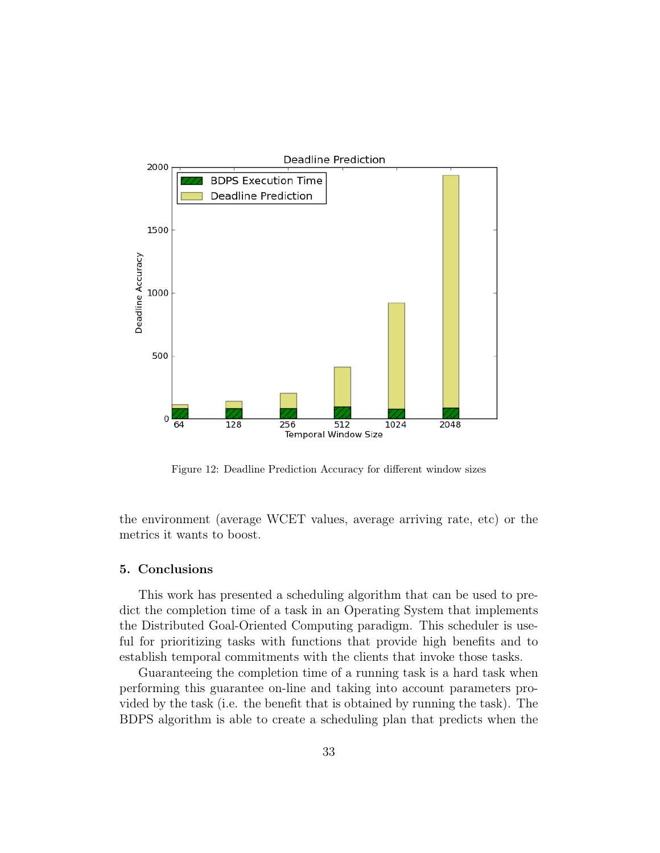

Figure 12: Deadline Prediction Accuracy for different window sizes

the environment (average WCET values, average arriving rate, etc) or the metrics it wants to boost.

#### 5. Conclusions

This work has presented a scheduling algorithm that can be used to predict the completion time of a task in an Operating System that implements the Distributed Goal-Oriented Computing paradigm. This scheduler is useful for prioritizing tasks with functions that provide high benefits and to establish temporal commitments with the clients that invoke those tasks.

Guaranteeing the completion time of a running task is a hard task when performing this guarantee on-line and taking into account parameters provided by the task (i.e. the benefit that is obtained by running the task). The BDPS algorithm is able to create a scheduling plan that predicts when the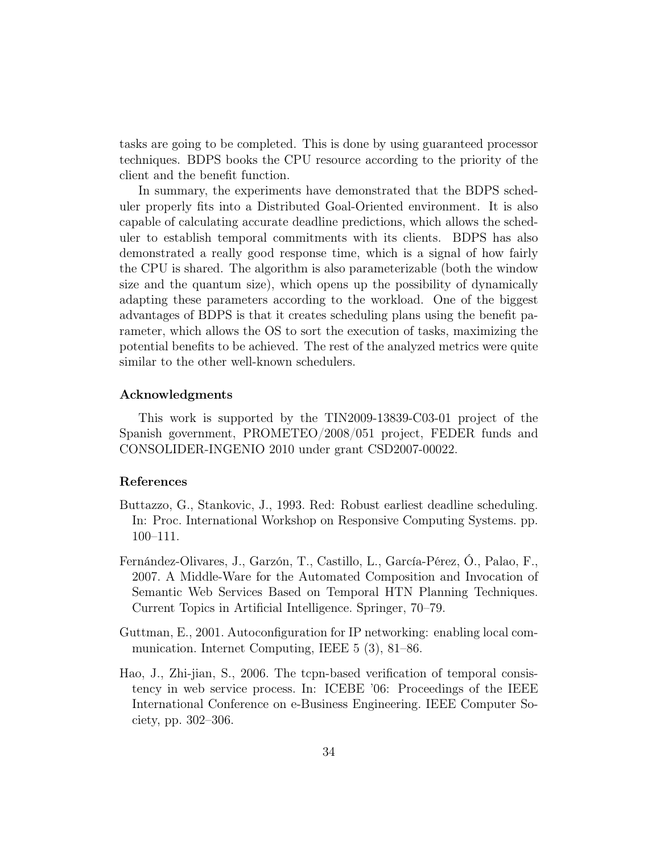tasks are going to be completed. This is done by using guaranteed processor techniques. BDPS books the CPU resource according to the priority of the client and the benefit function.

In summary, the experiments have demonstrated that the BDPS scheduler properly fits into a Distributed Goal-Oriented environment. It is also capable of calculating accurate deadline predictions, which allows the scheduler to establish temporal commitments with its clients. BDPS has also demonstrated a really good response time, which is a signal of how fairly the CPU is shared. The algorithm is also parameterizable (both the window size and the quantum size), which opens up the possibility of dynamically adapting these parameters according to the workload. One of the biggest advantages of BDPS is that it creates scheduling plans using the benefit parameter, which allows the OS to sort the execution of tasks, maximizing the potential benefits to be achieved. The rest of the analyzed metrics were quite similar to the other well-known schedulers.

#### Acknowledgments

This work is supported by the TIN2009-13839-C03-01 project of the Spanish government, PROMETEO/2008/051 project, FEDER funds and CONSOLIDER-INGENIO 2010 under grant CSD2007-00022.

#### References

- Buttazzo, G., Stankovic, J., 1993. Red: Robust earliest deadline scheduling. In: Proc. International Workshop on Responsive Computing Systems. pp. 100–111.
- Fernández-Olivares, J., Garzón, T., Castillo, L., García-Pérez, Ó., Palao, F., 2007. A Middle-Ware for the Automated Composition and Invocation of Semantic Web Services Based on Temporal HTN Planning Techniques. Current Topics in Artificial Intelligence. Springer, 70–79.
- Guttman, E., 2001. Autoconfiguration for IP networking: enabling local communication. Internet Computing, IEEE 5 (3), 81–86.
- Hao, J., Zhi-jian, S., 2006. The tcpn-based verification of temporal consistency in web service process. In: ICEBE '06: Proceedings of the IEEE International Conference on e-Business Engineering. IEEE Computer Society, pp. 302–306.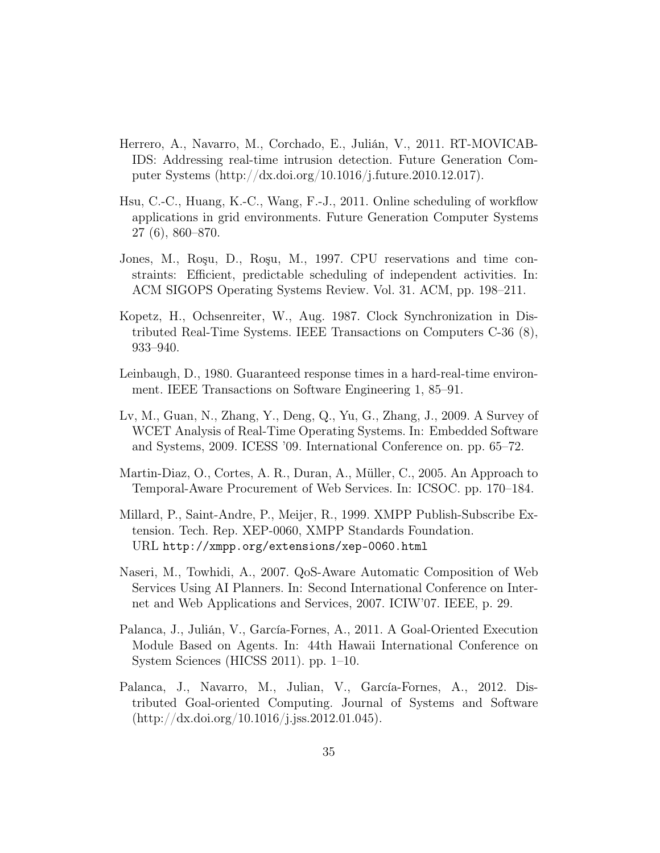- Herrero, A., Navarro, M., Corchado, E., Julián, V., 2011. RT-MOVICAB-IDS: Addressing real-time intrusion detection. Future Generation Computer Systems (http://dx.doi.org/10.1016/j.future.2010.12.017).
- Hsu, C.-C., Huang, K.-C., Wang, F.-J., 2011. Online scheduling of workflow applications in grid environments. Future Generation Computer Systems 27 (6), 860–870.
- Jones, M., Roşu, D., Roşu, M., 1997. CPU reservations and time constraints: Efficient, predictable scheduling of independent activities. In: ACM SIGOPS Operating Systems Review. Vol. 31. ACM, pp. 198–211.
- Kopetz, H., Ochsenreiter, W., Aug. 1987. Clock Synchronization in Distributed Real-Time Systems. IEEE Transactions on Computers C-36 (8), 933–940.
- Leinbaugh, D., 1980. Guaranteed response times in a hard-real-time environment. IEEE Transactions on Software Engineering 1, 85–91.
- Lv, M., Guan, N., Zhang, Y., Deng, Q., Yu, G., Zhang, J., 2009. A Survey of WCET Analysis of Real-Time Operating Systems. In: Embedded Software and Systems, 2009. ICESS '09. International Conference on. pp. 65–72.
- Martin-Diaz, O., Cortes, A. R., Duran, A., Müller, C., 2005. An Approach to Temporal-Aware Procurement of Web Services. In: ICSOC. pp. 170–184.
- Millard, P., Saint-Andre, P., Meijer, R., 1999. XMPP Publish-Subscribe Extension. Tech. Rep. XEP-0060, XMPP Standards Foundation. URL http://xmpp.org/extensions/xep-0060.html
- Naseri, M., Towhidi, A., 2007. QoS-Aware Automatic Composition of Web Services Using AI Planners. In: Second International Conference on Internet and Web Applications and Services, 2007. ICIW'07. IEEE, p. 29.
- Palanca, J., Julián, V., García-Fornes, A., 2011. A Goal-Oriented Execution Module Based on Agents. In: 44th Hawaii International Conference on System Sciences (HICSS 2011). pp. 1–10.
- Palanca, J., Navarro, M., Julian, V., García-Fornes, A., 2012. Distributed Goal-oriented Computing. Journal of Systems and Software (http://dx.doi.org/10.1016/j.jss.2012.01.045).